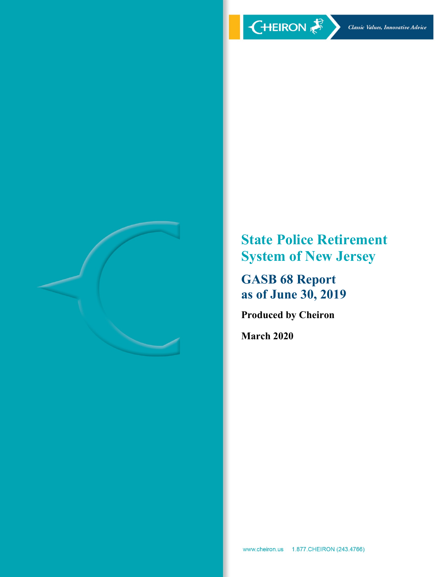

**State Police Retirement System of New Jersey**

**GASB 68 Report as of June 30, 2019**

**Produced by Cheiron**

**March 2020**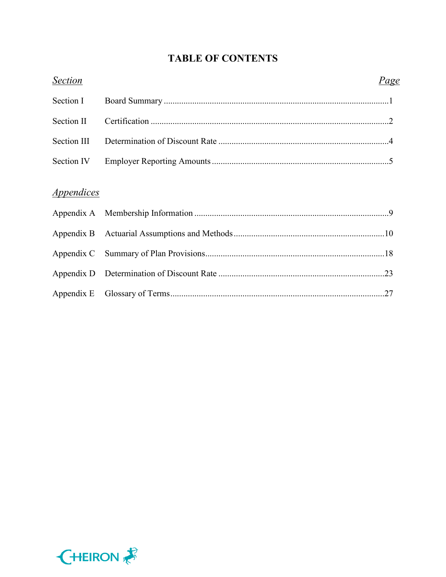# **TABLE OF CONTENTS**

| <b>Section</b>    | <u>Page</u> |  |
|-------------------|-------------|--|
| Section I         |             |  |
| Section II        |             |  |
| Section III       |             |  |
| Section IV        |             |  |
| <i>Appendices</i> |             |  |
|                   |             |  |
|                   |             |  |
|                   |             |  |
|                   |             |  |
|                   |             |  |
|                   |             |  |

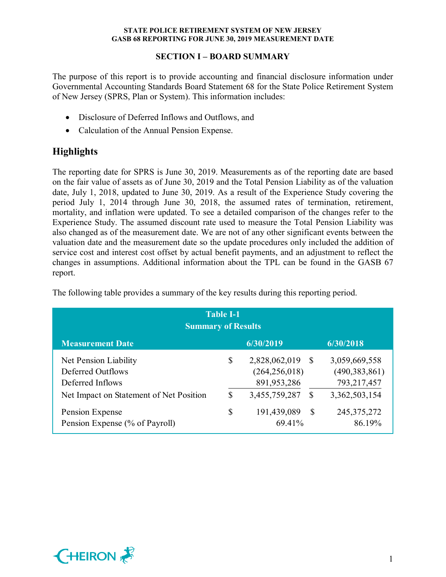## **SECTION I – BOARD SUMMARY**

The purpose of this report is to provide accounting and financial disclosure information under Governmental Accounting Standards Board Statement 68 for the State Police Retirement System of New Jersey (SPRS, Plan or System). This information includes:

- Disclosure of Deferred Inflows and Outflows, and
- Calculation of the Annual Pension Expense.

# **Highlights**

The reporting date for SPRS is June 30, 2019. Measurements as of the reporting date are based on the fair value of assets as of June 30, 2019 and the Total Pension Liability as of the valuation date, July 1, 2018, updated to June 30, 2019. As a result of the Experience Study covering the period July 1, 2014 through June 30, 2018, the assumed rates of termination, retirement, mortality, and inflation were updated. To see a detailed comparison of the changes refer to the Experience Study. The assumed discount rate used to measure the Total Pension Liability was also changed as of the measurement date. We are not of any other significant events between the valuation date and the measurement date so the update procedures only included the addition of service cost and interest cost offset by actual benefit payments, and an adjustment to reflect the changes in assumptions. Additional information about the TPL can be found in the GASB 67 report.

| <b>Table I-1</b><br><b>Summary of Results</b>                                                             |          |                                                                  |               |                                                                  |  |  |
|-----------------------------------------------------------------------------------------------------------|----------|------------------------------------------------------------------|---------------|------------------------------------------------------------------|--|--|
| <b>Measurement Date</b>                                                                                   |          | 6/30/2019                                                        |               | 6/30/2018                                                        |  |  |
| Net Pension Liability<br>Deferred Outflows<br>Deferred Inflows<br>Net Impact on Statement of Net Position | \$<br>\$ | 2,828,062,019<br>(264, 256, 018)<br>891,953,286<br>3,455,759,287 | -S<br>S       | 3,059,669,558<br>(490, 383, 861)<br>793,217,457<br>3,362,503,154 |  |  |
| Pension Expense<br>Pension Expense (% of Payroll)                                                         | \$       | 191,439,089<br>69.41%                                            | <sup>\$</sup> | 245, 375, 272<br>86.19%                                          |  |  |

The following table provides a summary of the key results during this reporting period.

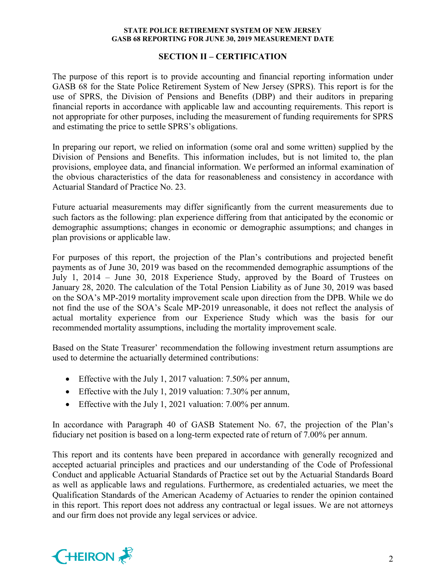#### **SECTION II – CERTIFICATION**

The purpose of this report is to provide accounting and financial reporting information under GASB 68 for the State Police Retirement System of New Jersey (SPRS). This report is for the use of SPRS, the Division of Pensions and Benefits (DBP) and their auditors in preparing financial reports in accordance with applicable law and accounting requirements. This report is not appropriate for other purposes, including the measurement of funding requirements for SPRS and estimating the price to settle SPRS's obligations.

In preparing our report, we relied on information (some oral and some written) supplied by the Division of Pensions and Benefits. This information includes, but is not limited to, the plan provisions, employee data, and financial information. We performed an informal examination of the obvious characteristics of the data for reasonableness and consistency in accordance with Actuarial Standard of Practice No. 23.

Future actuarial measurements may differ significantly from the current measurements due to such factors as the following: plan experience differing from that anticipated by the economic or demographic assumptions; changes in economic or demographic assumptions; and changes in plan provisions or applicable law.

For purposes of this report, the projection of the Plan's contributions and projected benefit payments as of June 30, 2019 was based on the recommended demographic assumptions of the July 1, 2014 – June 30, 2018 Experience Study, approved by the Board of Trustees on January 28, 2020. The calculation of the Total Pension Liability as of June 30, 2019 was based on the SOA's MP-2019 mortality improvement scale upon direction from the DPB. While we do not find the use of the SOA's Scale MP-2019 unreasonable, it does not reflect the analysis of actual mortality experience from our Experience Study which was the basis for our recommended mortality assumptions, including the mortality improvement scale.

Based on the State Treasurer' recommendation the following investment return assumptions are used to determine the actuarially determined contributions:

- Effective with the July 1, 2017 valuation: 7.50% per annum,
- Effective with the July 1, 2019 valuation: 7.30% per annum,
- Effective with the July 1, 2021 valuation: 7.00% per annum.

In accordance with Paragraph 40 of GASB Statement No. 67, the projection of the Plan's fiduciary net position is based on a long-term expected rate of return of 7.00% per annum.

This report and its contents have been prepared in accordance with generally recognized and accepted actuarial principles and practices and our understanding of the Code of Professional Conduct and applicable Actuarial Standards of Practice set out by the Actuarial Standards Board as well as applicable laws and regulations. Furthermore, as credentialed actuaries, we meet the Qualification Standards of the American Academy of Actuaries to render the opinion contained in this report. This report does not address any contractual or legal issues. We are not attorneys and our firm does not provide any legal services or advice.

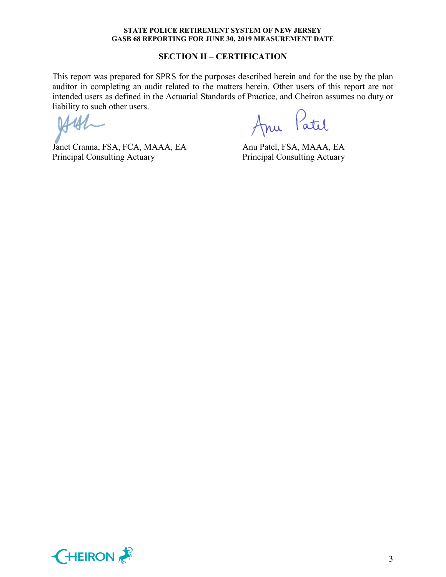#### **SECTION II – CERTIFICATION**

This report was prepared for SPRS for the purposes described herein and for the use by the plan auditor in completing an audit related to the matters herein. Other users of this report are not intended users as defined in the Actuarial Standards of Practice, and Cheiron assumes no duty or liability to such other users.

Janet Cranna, FSA, FCA, MAAA, EA Anu Patel, FSA, MAAA, EA Principal Consulting Actuary Principal Consulting Actuary

Anu Patil

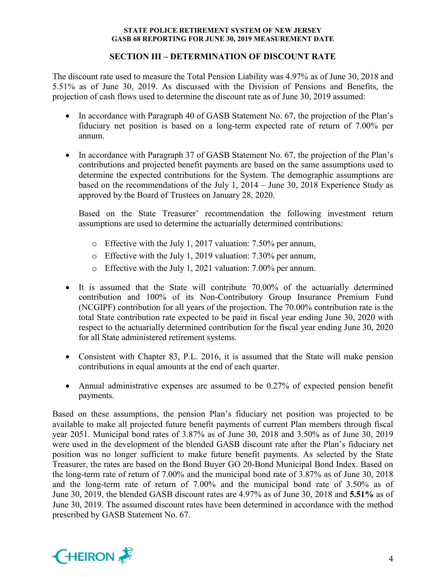## **SECTION III – DETERMINATION OF DISCOUNT RATE**

The discount rate used to measure the Total Pension Liability was 4.97% as of June 30, 2018 and 5.51% as of June 30, 2019. As discussed with the Division of Pensions and Benefits, the projection of cash flows used to determine the discount rate as of June 30, 2019 assumed:

- In accordance with Paragraph 40 of GASB Statement No. 67, the projection of the Plan's fiduciary net position is based on a long-term expected rate of return of 7.00% per annum.
- In accordance with Paragraph 37 of GASB Statement No. 67, the projection of the Plan's contributions and projected benefit payments are based on the same assumptions used to determine the expected contributions for the System. The demographic assumptions are based on the recommendations of the July 1, 2014 – June 30, 2018 Experience Study as approved by the Board of Trustees on January 28, 2020.

Based on the State Treasurer' recommendation the following investment return assumptions are used to determine the actuarially determined contributions:

- o Effective with the July 1, 2017 valuation: 7.50% per annum,
- o Effective with the July 1, 2019 valuation: 7.30% per annum,
- o Effective with the July 1, 2021 valuation: 7.00% per annum.
- It is assumed that the State will contribute 70.00% of the actuarially determined contribution and 100% of its Non-Contributory Group Insurance Premium Fund (NCGIPF) contribution for all years of the projection. The 70.00% contribution rate is the total State contribution rate expected to be paid in fiscal year ending June 30, 2020 with respect to the actuarially determined contribution for the fiscal year ending June 30, 2020 for all State administered retirement systems.
- Consistent with Chapter 83, P.L. 2016, it is assumed that the State will make pension contributions in equal amounts at the end of each quarter.
- Annual administrative expenses are assumed to be 0.27% of expected pension benefit payments.

Based on these assumptions, the pension Plan's fiduciary net position was projected to be available to make all projected future benefit payments of current Plan members through fiscal year 2051. Municipal bond rates of 3.87% as of June 30, 2018 and 3.50% as of June 30, 2019 were used in the development of the blended GASB discount rate after the Plan's fiduciary net position was no longer sufficient to make future benefit payments. As selected by the State Treasurer, the rates are based on the Bond Buyer GO 20-Bond Municipal Bond Index. Based on the long-term rate of return of 7.00% and the municipal bond rate of 3.87% as of June 30, 2018 and the long-term rate of return of 7.00% and the municipal bond rate of 3.50% as of June 30, 2019, the blended GASB discount rates are 4.97% as of June 30, 2018 and **5.51%** as of June 30, 2019. The assumed discount rates have been determined in accordance with the method prescribed by GASB Statement No. 67.

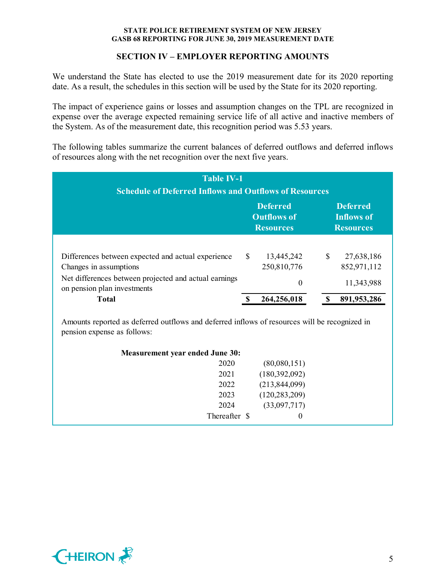## **SECTION IV – EMPLOYER REPORTING AMOUNTS**

We understand the State has elected to use the 2019 measurement date for its 2020 reporting date. As a result, the schedules in this section will be used by the State for its 2020 reporting.

The impact of experience gains or losses and assumption changes on the TPL are recognized in expense over the average expected remaining service life of all active and inactive members of the System. As of the measurement date, this recognition period was 5.53 years.

The following tables summarize the current balances of deferred outflows and deferred inflows of resources along with the net recognition over the next five years.

| <b>Table IV-1</b><br><b>Schedule of Deferred Inflows and Outflows of Resources</b>            |               |                                                           |               |                                                          |  |  |
|-----------------------------------------------------------------------------------------------|---------------|-----------------------------------------------------------|---------------|----------------------------------------------------------|--|--|
|                                                                                               |               | <b>Deferred</b><br><b>Outflows of</b><br><b>Resources</b> |               | <b>Deferred</b><br><b>Inflows of</b><br><b>Resources</b> |  |  |
| Differences between expected and actual experience<br>Changes in assumptions                  | <sup>\$</sup> | 13,445,242<br>250,810,776                                 | <sup>\$</sup> | 27,638,186<br>852,971,112                                |  |  |
| Net differences between projected and actual earnings<br>on pension plan investments<br>Total |               | $\theta$<br>264,256,018                                   |               | 11,343,988<br>891, 953, 286                              |  |  |

Amounts reported as deferred outflows and deferred inflows of resources will be recognized in pension expense as follows:

| <b>Measurement year ended June 30:</b> |                 |  |
|----------------------------------------|-----------------|--|
| 2020                                   | (80,080,151)    |  |
| 2021                                   | (180,392,092)   |  |
| 2022                                   | (213, 844, 099) |  |
| 2023                                   | (120, 283, 209) |  |
| 2024                                   | (33,097,717)    |  |
| Thereafter \$                          | $\theta$        |  |

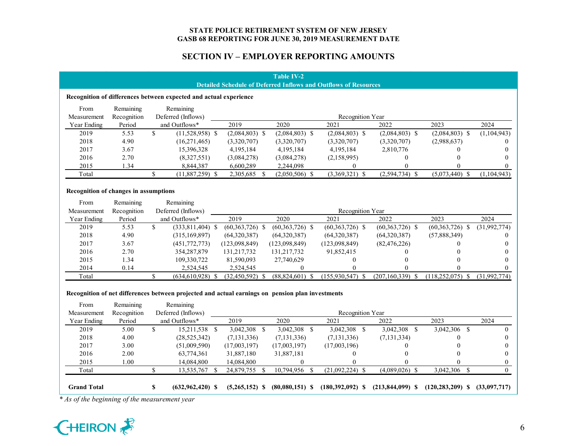## **SECTION IV – EMPLOYER REPORTING AMOUNTS**

#### **Table IV-2 Detailed Schedule of Deferred Inflows and Outflows of Resources**

#### **Recognition of differences between expected and actual experience**

| From        | Remaining   | Remaining          |                  |                  |                  |                  |             |               |
|-------------|-------------|--------------------|------------------|------------------|------------------|------------------|-------------|---------------|
| Measurement | Recognition | Deferred (Inflows) |                  |                  | Recognition Year |                  |             |               |
| Year Ending | Period      | and Outflows*      | 2019             | 2020             | 2021             | 2022             | 2023        | 2024          |
| 2019        | 5.53        | $(11,528,958)$ \$  | $(2,084,803)$ \$ | $(2,084,803)$ \$ | $(2,084,803)$ \$ | $(2,084,803)$ \$ | (2,084,803) | (1, 104, 943) |
| 2018        | 4.90        | (16,271,465)       | (3,320,707)      | (3,320,707)      | (3,320,707)      | (3,320,707)      | (2,988,637) |               |
| 2017        | 3.67        | 15,396,328         | 4,195,184        | 4,195,184        | 4,195,184        | 2,810,776        |             |               |
| 2016        | 2.70        | (8,327,551)        | (3,084,278)      | (3,084,278)      | (2,158,995)      |                  |             |               |
| 2015        | 34ء ،       | 8,844,387          | 6,600,289        | 2,244,098        |                  |                  |             |               |
| Total       |             | $(11,887,259)$ \$  | 2,305,685        | $(2,050,506)$ \$ | $(3,369,321)$ \$ | $(2,594,734)$ \$ | (5,073,440) | (1, 104, 943) |

#### **Recognition of changes in assumptions**

| From        | Remaining   | Remaining          |                   |                   |                    |                      |                    |              |
|-------------|-------------|--------------------|-------------------|-------------------|--------------------|----------------------|--------------------|--------------|
| Measurement | Recognition | Deferred (Inflows) |                   |                   | Recognition Year   |                      |                    |              |
| Year Ending | Period      | and Outflows*      | 2019              | 2020              | 2021               | 2022                 | 2023               | 2024         |
| 2019        | 5.53        | $(333,811,404)$ \$ | $(60,363,726)$ \$ | $(60,363,726)$ \$ | $(60,363,726)$ \$  | $(60,363,726)$ \$    | (60,363,726)<br>-S | (31,992,774) |
| 2018        | 4.90        | (315, 169, 897)    | (64,320,387)      | (64,320,387)      | (64,320,387)       | (64,320,387)         | (57,888,349)       |              |
| 2017        | 3.67        | (451,772,773)      | (123,098,849)     | (123,098,849)     | (123,098,849)      | (82, 476, 226)       |                    |              |
| 2016        | 2.70        | 354, 287, 879      | 131, 217, 732     | 131,217,732       | 91,852,415         |                      |                    |              |
| 2015        | l.34        | 109,330,722        | 81,590,093        | 27,740,629        |                    |                      |                    |              |
| 2014        | 0.14        | 2,524,545          | 2,524,545         |                   |                    |                      |                    |              |
| Total       |             | (634, 610, 928)    | (32, 450, 592)    | (88, 824, 601)    | $(155,930,547)$ \$ | $(207, 160, 339)$ \$ | (118.252.075)      | (31,992,774) |

#### **Recognition of net differences between projected and actual earnings on pension plan investments**

| From               | Remaining   | Remaining            |                  |    |                   |    |                      |                      |                      |    |              |
|--------------------|-------------|----------------------|------------------|----|-------------------|----|----------------------|----------------------|----------------------|----|--------------|
| Measurement        | Recognition | Deferred (Inflows)   |                  |    |                   |    | Recognition Year     |                      |                      |    |              |
| Year Ending        | Period      | and Outflows*        | 2019             |    | 2020              |    | 2021                 | 2022                 | 2023                 |    | 2024         |
| 2019               | 5.00        | 15,211,538 \$        | 3,042,308        | S. | 3,042,308         | -8 | 3,042,308            | 3,042,308 \$         | 3,042,306            | -S |              |
| 2018               | 4.00        | (28, 525, 342)       | (7, 131, 336)    |    | (7, 131, 336)     |    | (7, 131, 336)        | (7, 131, 334)        |                      |    |              |
| 2017               | 3.00        | (51,009,590)         | (17,003,197)     |    | (17,003,197)      |    | (17,003,196)         |                      | $\theta$             |    |              |
| 2016               | 2.00        | 63,774,361           | 31,887,180       |    | 31,887,181        |    |                      |                      | $\Omega$             |    |              |
| 2015               | 0.00        | 14,084,800           | 14,084,800       |    |                   |    |                      |                      |                      |    |              |
| Total              |             | 13,535,767 \$        | 24,879,755       |    | 10,794,956 \$     |    | $(21,092,224)$ \$    | $(4,089,026)$ \$     | 3,042,306            |    |              |
| <b>Grand Total</b> |             | $(632, 962, 420)$ \$ | $(5,265,152)$ \$ |    | $(80,080,151)$ \$ |    | $(180, 392, 092)$ \$ | $(213, 844, 099)$ \$ | $(120, 283, 209)$ \$ |    | (33,097,717) |

*\* As of the beginning of the measurement year*

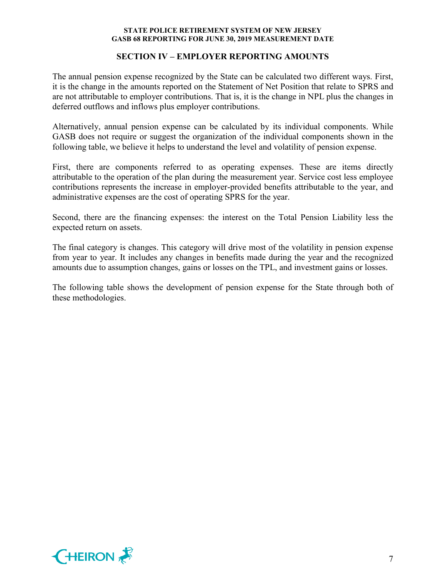### **SECTION IV – EMPLOYER REPORTING AMOUNTS**

The annual pension expense recognized by the State can be calculated two different ways. First, it is the change in the amounts reported on the Statement of Net Position that relate to SPRS and are not attributable to employer contributions. That is, it is the change in NPL plus the changes in deferred outflows and inflows plus employer contributions.

Alternatively, annual pension expense can be calculated by its individual components. While GASB does not require or suggest the organization of the individual components shown in the following table, we believe it helps to understand the level and volatility of pension expense.

First, there are components referred to as operating expenses. These are items directly attributable to the operation of the plan during the measurement year. Service cost less employee contributions represents the increase in employer-provided benefits attributable to the year, and administrative expenses are the cost of operating SPRS for the year.

Second, there are the financing expenses: the interest on the Total Pension Liability less the expected return on assets.

The final category is changes. This category will drive most of the volatility in pension expense from year to year. It includes any changes in benefits made during the year and the recognized amounts due to assumption changes, gains or losses on the TPL, and investment gains or losses.

The following table shows the development of pension expense for the State through both of these methodologies.

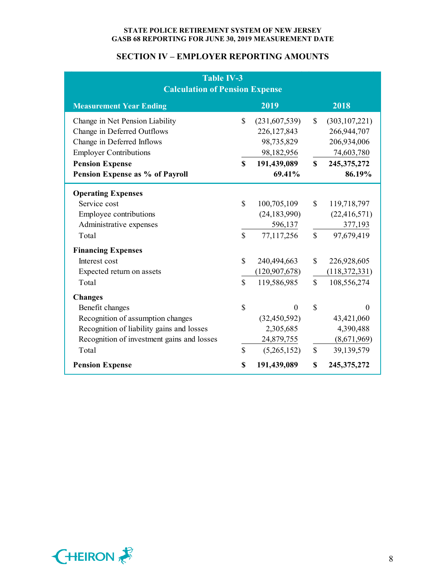## **SECTION IV – EMPLOYER REPORTING AMOUNTS**

| <b>Table IV-3</b><br><b>Calculation of Pension Expense</b> |              |                 |               |                 |  |
|------------------------------------------------------------|--------------|-----------------|---------------|-----------------|--|
| <b>Measurement Year Ending</b>                             |              | 2019            |               | 2018            |  |
| Change in Net Pension Liability                            | $\mathbb{S}$ | (231,607,539)   | $\mathcal{S}$ | (303, 107, 221) |  |
| Change in Deferred Outflows                                |              | 226,127,843     |               | 266,944,707     |  |
| Change in Deferred Inflows                                 |              | 98,735,829      |               | 206,934,006     |  |
| <b>Employer Contributions</b>                              |              | 98,182,956      |               | 74,603,780      |  |
| <b>Pension Expense</b>                                     | \$           | 191,439,089     | $\mathbf S$   | 245, 375, 272   |  |
| Pension Expense as % of Payroll                            |              | 69.41%          |               | 86.19%          |  |
| <b>Operating Expenses</b>                                  |              |                 |               |                 |  |
| Service cost                                               | \$           | 100,705,109     | $\mathbb{S}$  | 119,718,797     |  |
| Employee contributions                                     |              | (24, 183, 990)  |               | (22, 416, 571)  |  |
| Administrative expenses                                    |              | 596,137         |               | 377,193         |  |
| Total                                                      | $\mathbb{S}$ | 77,117,256      | $\mathbf S$   | 97,679,419      |  |
| <b>Financing Expenses</b>                                  |              |                 |               |                 |  |
| Interest cost                                              | \$           | 240,494,663     | $\mathbf S$   | 226,928,605     |  |
| Expected return on assets                                  |              | (120, 907, 678) |               | (118, 372, 331) |  |
| Total                                                      | $\mathbf S$  | 119,586,985     | $\mathbf S$   | 108,556,274     |  |
| <b>Changes</b>                                             |              |                 |               |                 |  |
| Benefit changes                                            | \$           | $\theta$        | $\mathcal{S}$ | 0               |  |
| Recognition of assumption changes                          |              | (32, 450, 592)  |               | 43,421,060      |  |
| Recognition of liability gains and losses                  |              | 2,305,685       |               | 4,390,488       |  |
| Recognition of investment gains and losses                 |              | 24,879,755      |               | (8,671,969)     |  |
| Total                                                      | $\mathbb{S}$ | (5,265,152)     | $\mathbb{S}$  | 39,139,579      |  |
| <b>Pension Expense</b>                                     | \$           | 191,439,089     | \$            | 245, 375, 272   |  |

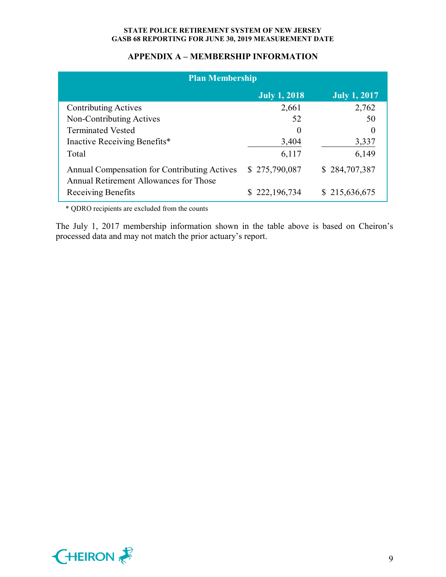## **APPENDIX A – MEMBERSHIP INFORMATION**

| <b>Plan Membership</b>                                                                 |                     |                     |  |  |  |  |  |
|----------------------------------------------------------------------------------------|---------------------|---------------------|--|--|--|--|--|
|                                                                                        | <b>July 1, 2018</b> | <b>July 1, 2017</b> |  |  |  |  |  |
| <b>Contributing Actives</b>                                                            | 2,661               | 2,762               |  |  |  |  |  |
| Non-Contributing Actives                                                               | 52                  | 50                  |  |  |  |  |  |
| <b>Terminated Vested</b>                                                               | $\theta$            | $\Omega$            |  |  |  |  |  |
| Inactive Receiving Benefits*                                                           | 3,404               | 3,337               |  |  |  |  |  |
| Total                                                                                  | 6,117               | 6,149               |  |  |  |  |  |
| Annual Compensation for Contributing Actives<br>Annual Retirement Allowances for Those | \$275,790,087       | \$284,707,387       |  |  |  |  |  |
| Receiving Benefits                                                                     | \$222,196,734       | \$215,636,675       |  |  |  |  |  |

\* QDRO recipients are excluded from the counts

The July 1, 2017 membership information shown in the table above is based on Cheiron's processed data and may not match the prior actuary's report.

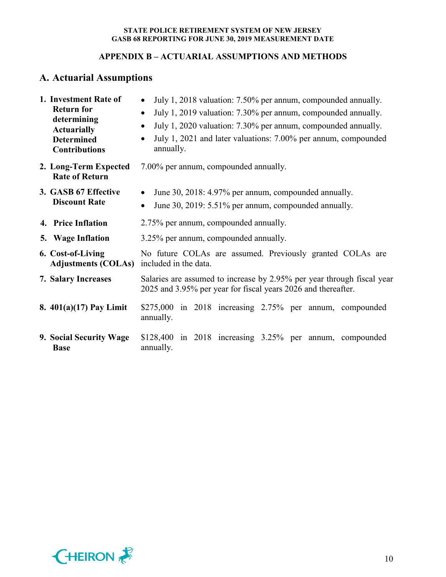## **APPENDIX B – ACTUARIAL ASSUMPTIONS AND METHODS**

# **A. Actuarial Assumptions**

| 1. Investment Rate of<br><b>Return for</b><br>determining<br><b>Actuarially</b><br><b>Determined</b><br><b>Contributions</b> | July 1, 2018 valuation: 7.50% per annum, compounded annually.<br>$\bullet$<br>July 1, 2019 valuation: 7.30% per annum, compounded annually.<br>$\bullet$<br>July 1, 2020 valuation: 7.30% per annum, compounded annually.<br>$\bullet$<br>July 1, 2021 and later valuations: 7.00% per annum, compounded<br>annually. |  |  |  |  |  |  |  |  |
|------------------------------------------------------------------------------------------------------------------------------|-----------------------------------------------------------------------------------------------------------------------------------------------------------------------------------------------------------------------------------------------------------------------------------------------------------------------|--|--|--|--|--|--|--|--|
| 2. Long-Term Expected<br><b>Rate of Return</b>                                                                               | 7.00% per annum, compounded annually.                                                                                                                                                                                                                                                                                 |  |  |  |  |  |  |  |  |
| 3. GASB 67 Effective<br><b>Discount Rate</b>                                                                                 | June 30, 2018: 4.97% per annum, compounded annually.<br>June 30, 2019: 5.51% per annum, compounded annually.<br>$\bullet$                                                                                                                                                                                             |  |  |  |  |  |  |  |  |
| 4. Price Inflation                                                                                                           | 2.75% per annum, compounded annually.                                                                                                                                                                                                                                                                                 |  |  |  |  |  |  |  |  |
| 5. Wage Inflation                                                                                                            | 3.25% per annum, compounded annually.                                                                                                                                                                                                                                                                                 |  |  |  |  |  |  |  |  |
| 6. Cost-of-Living<br><b>Adjustments (COLAs)</b>                                                                              | No future COLAs are assumed. Previously granted COLAs are<br>included in the data.                                                                                                                                                                                                                                    |  |  |  |  |  |  |  |  |
| <b>7. Salary Increases</b>                                                                                                   | Salaries are assumed to increase by 2.95% per year through fiscal year<br>2025 and 3.95% per year for fiscal years 2026 and thereafter.                                                                                                                                                                               |  |  |  |  |  |  |  |  |
| 8. $401(a)(17)$ Pay Limit                                                                                                    | $$275,000$ in 2018 increasing 2.75% per annum, compounded<br>annually.                                                                                                                                                                                                                                                |  |  |  |  |  |  |  |  |
| 9. Social Security Wage<br><b>Base</b>                                                                                       | $$128,400$ in $2018$ increasing $3.25\%$ per annum, compounded<br>annually.                                                                                                                                                                                                                                           |  |  |  |  |  |  |  |  |

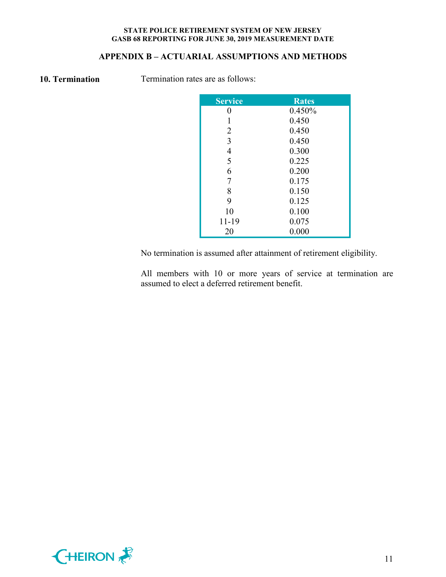## **APPENDIX B – ACTUARIAL ASSUMPTIONS AND METHODS**

**10. Termination** Termination rates are as follows:

| Service        | <b>Rates</b> |
|----------------|--------------|
|                | 0.450%       |
|                | 0.450        |
| $\overline{2}$ | 0.450        |
| 3              | 0.450        |
| 4              | 0.300        |
| 5              | 0.225        |
| 6              | 0.200        |
| 7              | 0.175        |
| 8              | 0.150        |
| 9              | 0.125        |
| 10             | 0.100        |
| 11-19          | 0.075        |
| 20             | 0.000        |

No termination is assumed after attainment of retirement eligibility.

All members with 10 or more years of service at termination are assumed to elect a deferred retirement benefit.

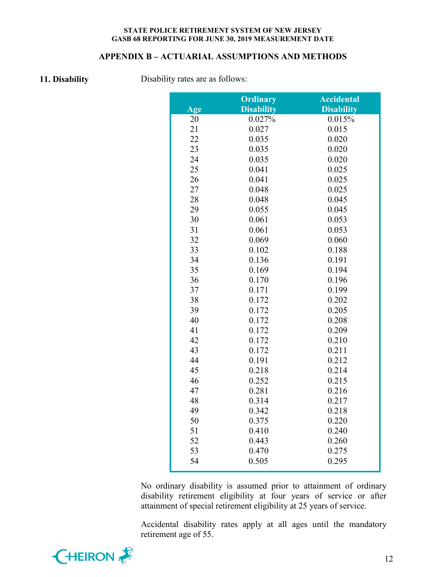#### **APPENDIX B – ACTUARIAL ASSUMPTIONS AND METHODS**

**11. Disability** Disability rates are as follows:

|     | <b>Ordinary</b>   | <b>Accidental</b> |
|-----|-------------------|-------------------|
| Age | <b>Disability</b> | <b>Disability</b> |
| 20  | 0.027%            | 0.015%            |
| 21  | 0.027             | 0.015             |
| 22  | 0.035             | 0.020             |
| 23  | 0.035             | 0.020             |
| 24  | 0.035             | 0.020             |
| 25  | 0.041             | 0.025             |
| 26  | 0.041             | 0.025             |
| 27  | 0.048             | 0.025             |
| 28  | 0.048             | 0.045             |
| 29  | 0.055             | 0.045             |
| 30  | 0.061             | 0.053             |
| 31  | 0.061             | 0.053             |
| 32  | 0.069             | 0.060             |
| 33  | 0.102             | 0.188             |
| 34  | 0.136             | 0.191             |
| 35  | 0.169             | 0.194             |
| 36  | 0.170             | 0.196             |
| 37  | 0.171             | 0.199             |
| 38  | 0.172             | 0.202             |
| 39  | 0.172             | 0.205             |
| 40  | 0.172             | 0.208             |
| 41  | 0.172             | 0.209             |
| 42  | 0.172             | 0.210             |
| 43  | 0.172             | 0.211             |
| 44  | 0.191             | 0.212             |
| 45  | 0.218             | 0.214             |
| 46  | 0.252             | 0.215             |
| 47  | 0.281             | 0.216             |
| 48  | 0.314             | 0.217             |
| 49  | 0.342             | 0.218             |
| 50  | 0.375             | 0.220             |
| 51  | 0.410             | 0.240             |
| 52  | 0.443             | 0.260             |
| 53  | 0.470             | 0.275             |
| 54  | 0.505             | 0.295             |

No ordinary disability is assumed prior to attainment of ordinary disability retirement eligibility at four years of service or after attainment of special retirement eligibility at 25 years of service.

Accidental disability rates apply at all ages until the mandatory retirement age of 55.

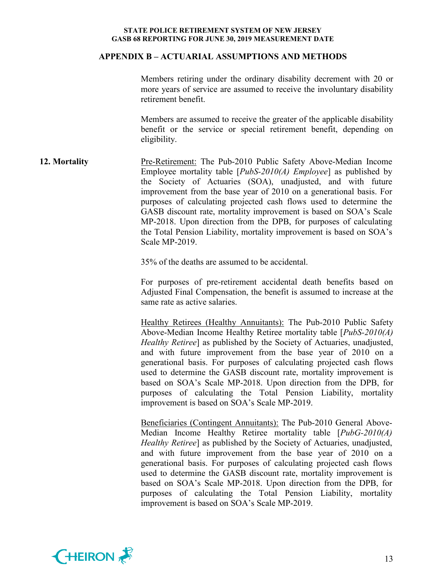#### **APPENDIX B – ACTUARIAL ASSUMPTIONS AND METHODS**

Members retiring under the ordinary disability decrement with 20 or more years of service are assumed to receive the involuntary disability retirement benefit.

Members are assumed to receive the greater of the applicable disability benefit or the service or special retirement benefit, depending on eligibility.

**12. Mortality** Pre-Retirement: The Pub-2010 Public Safety Above-Median Income Employee mortality table [*PubS-2010(A) Employee*] as published by the Society of Actuaries (SOA), unadjusted, and with future improvement from the base year of 2010 on a generational basis. For purposes of calculating projected cash flows used to determine the GASB discount rate, mortality improvement is based on SOA's Scale MP-2018. Upon direction from the DPB, for purposes of calculating the Total Pension Liability, mortality improvement is based on SOA's Scale MP-2019.

35% of the deaths are assumed to be accidental.

For purposes of pre-retirement accidental death benefits based on Adjusted Final Compensation, the benefit is assumed to increase at the same rate as active salaries.

Healthy Retirees (Healthy Annuitants): The Pub-2010 Public Safety Above-Median Income Healthy Retiree mortality table [*PubS-2010(A) Healthy Retiree*] as published by the Society of Actuaries, unadjusted, and with future improvement from the base year of 2010 on a generational basis. For purposes of calculating projected cash flows used to determine the GASB discount rate, mortality improvement is based on SOA's Scale MP-2018. Upon direction from the DPB, for purposes of calculating the Total Pension Liability, mortality improvement is based on SOA's Scale MP-2019.

Beneficiaries (Contingent Annuitants): The Pub-2010 General Above-Median Income Healthy Retiree mortality table [*PubG-2010(A) Healthy Retiree*] as published by the Society of Actuaries, unadjusted, and with future improvement from the base year of 2010 on a generational basis. For purposes of calculating projected cash flows used to determine the GASB discount rate, mortality improvement is based on SOA's Scale MP-2018. Upon direction from the DPB, for purposes of calculating the Total Pension Liability, mortality improvement is based on SOA's Scale MP-2019.

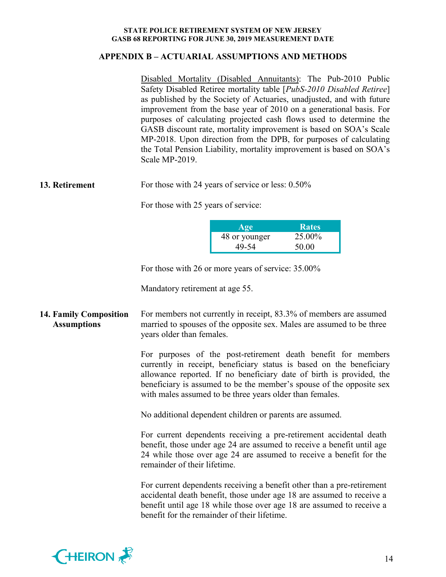#### **APPENDIX B – ACTUARIAL ASSUMPTIONS AND METHODS**

Disabled Mortality (Disabled Annuitants): The Pub-2010 Public Safety Disabled Retiree mortality table [*PubS-2010 Disabled Retiree*] as published by the Society of Actuaries, unadjusted, and with future improvement from the base year of 2010 on a generational basis. For purposes of calculating projected cash flows used to determine the GASB discount rate, mortality improvement is based on SOA's Scale MP-2018. Upon direction from the DPB, for purposes of calculating the Total Pension Liability, mortality improvement is based on SOA's Scale MP-2019.

**13. Retirement** For those with 24 years of service or less:  $0.50\%$ 

For those with 25 years of service:

| Age           | <b>Rates</b> |
|---------------|--------------|
| 48 or younger | 25.00%       |
| 49-54         | 50.00        |

For those with 26 or more years of service: 35.00%

Mandatory retirement at age 55.

## **14. Family Composition Assumptions**

For members not currently in receipt, 83.3% of members are assumed married to spouses of the opposite sex. Males are assumed to be three years older than females.

For purposes of the post-retirement death benefit for members currently in receipt, beneficiary status is based on the beneficiary allowance reported. If no beneficiary date of birth is provided, the beneficiary is assumed to be the member's spouse of the opposite sex with males assumed to be three years older than females.

No additional dependent children or parents are assumed.

For current dependents receiving a pre-retirement accidental death benefit, those under age 24 are assumed to receive a benefit until age 24 while those over age 24 are assumed to receive a benefit for the remainder of their lifetime.

For current dependents receiving a benefit other than a pre-retirement accidental death benefit, those under age 18 are assumed to receive a benefit until age 18 while those over age 18 are assumed to receive a benefit for the remainder of their lifetime.

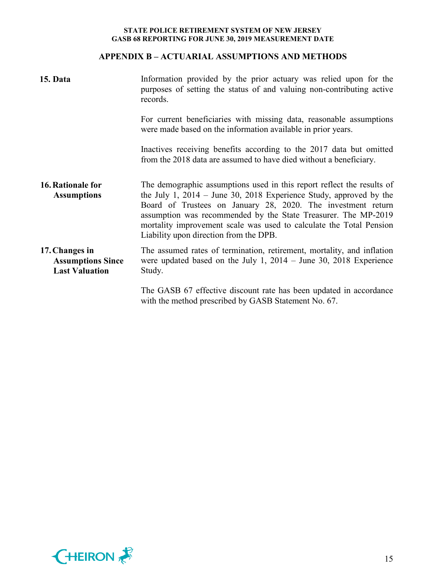## **APPENDIX B – ACTUARIAL ASSUMPTIONS AND METHODS**

| 15. Data                                                            | Information provided by the prior actuary was relied upon for the<br>purposes of setting the status of and valuing non-contributing active<br>records.                                                                                                                                                                                                                                            |  |  |  |
|---------------------------------------------------------------------|---------------------------------------------------------------------------------------------------------------------------------------------------------------------------------------------------------------------------------------------------------------------------------------------------------------------------------------------------------------------------------------------------|--|--|--|
|                                                                     | For current beneficiaries with missing data, reasonable assumptions<br>were made based on the information available in prior years.                                                                                                                                                                                                                                                               |  |  |  |
|                                                                     | Inactives receiving benefits according to the 2017 data but omitted<br>from the 2018 data are assumed to have died without a beneficiary.                                                                                                                                                                                                                                                         |  |  |  |
| 16. Rationale for<br><b>Assumptions</b>                             | The demographic assumptions used in this report reflect the results of<br>the July 1, $2014 -$ June 30, 2018 Experience Study, approved by the<br>Board of Trustees on January 28, 2020. The investment return<br>assumption was recommended by the State Treasurer. The MP-2019<br>mortality improvement scale was used to calculate the Total Pension<br>Liability upon direction from the DPB. |  |  |  |
| 17. Changes in<br><b>Assumptions Since</b><br><b>Last Valuation</b> | The assumed rates of termination, retirement, mortality, and inflation<br>were updated based on the July 1, $2014 -$ June 30, 2018 Experience<br>Study.                                                                                                                                                                                                                                           |  |  |  |
|                                                                     | The GASB 67 effective discount rate has been updated in accordance<br>with the method prescribed by GASB Statement No. 67.                                                                                                                                                                                                                                                                        |  |  |  |

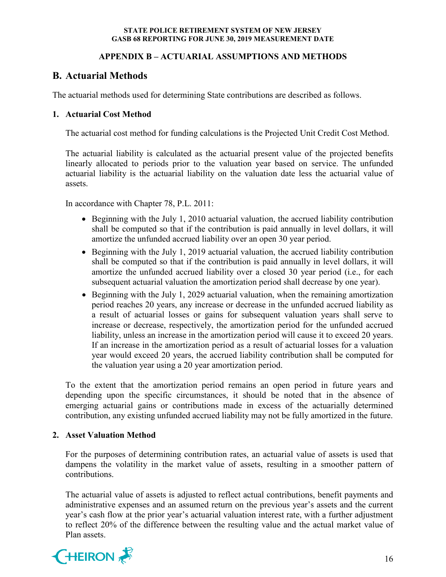## **APPENDIX B – ACTUARIAL ASSUMPTIONS AND METHODS**

# **B. Actuarial Methods**

The actuarial methods used for determining State contributions are described as follows.

## **1. Actuarial Cost Method**

The actuarial cost method for funding calculations is the Projected Unit Credit Cost Method.

The actuarial liability is calculated as the actuarial present value of the projected benefits linearly allocated to periods prior to the valuation year based on service. The unfunded actuarial liability is the actuarial liability on the valuation date less the actuarial value of assets.

In accordance with Chapter 78, P.L. 2011:

- Beginning with the July 1, 2010 actuarial valuation, the accrued liability contribution shall be computed so that if the contribution is paid annually in level dollars, it will amortize the unfunded accrued liability over an open 30 year period.
- Beginning with the July 1, 2019 actuarial valuation, the accrued liability contribution shall be computed so that if the contribution is paid annually in level dollars, it will amortize the unfunded accrued liability over a closed 30 year period (i.e., for each subsequent actuarial valuation the amortization period shall decrease by one year).
- Beginning with the July 1, 2029 actuarial valuation, when the remaining amortization period reaches 20 years, any increase or decrease in the unfunded accrued liability as a result of actuarial losses or gains for subsequent valuation years shall serve to increase or decrease, respectively, the amortization period for the unfunded accrued liability, unless an increase in the amortization period will cause it to exceed 20 years. If an increase in the amortization period as a result of actuarial losses for a valuation year would exceed 20 years, the accrued liability contribution shall be computed for the valuation year using a 20 year amortization period.

To the extent that the amortization period remains an open period in future years and depending upon the specific circumstances, it should be noted that in the absence of emerging actuarial gains or contributions made in excess of the actuarially determined contribution, any existing unfunded accrued liability may not be fully amortized in the future.

#### **2. Asset Valuation Method**

For the purposes of determining contribution rates, an actuarial value of assets is used that dampens the volatility in the market value of assets, resulting in a smoother pattern of contributions.

The actuarial value of assets is adjusted to reflect actual contributions, benefit payments and administrative expenses and an assumed return on the previous year's assets and the current year's cash flow at the prior year's actuarial valuation interest rate, with a further adjustment to reflect 20% of the difference between the resulting value and the actual market value of Plan assets.

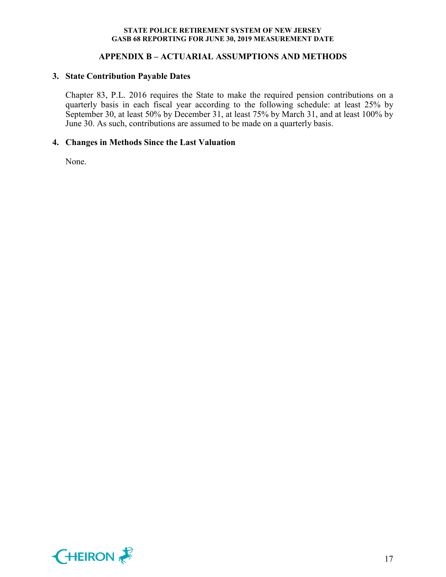## **APPENDIX B – ACTUARIAL ASSUMPTIONS AND METHODS**

#### **3. State Contribution Payable Dates**

Chapter 83, P.L. 2016 requires the State to make the required pension contributions on a quarterly basis in each fiscal year according to the following schedule: at least 25% by September 30, at least 50% by December 31, at least 75% by March 31, and at least 100% by June 30. As such, contributions are assumed to be made on a quarterly basis.

#### **4. Changes in Methods Since the Last Valuation**

None.

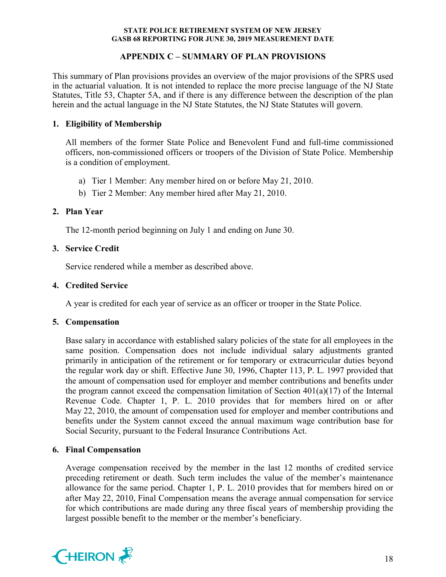## **APPENDIX C – SUMMARY OF PLAN PROVISIONS**

This summary of Plan provisions provides an overview of the major provisions of the SPRS used in the actuarial valuation. It is not intended to replace the more precise language of the NJ State Statutes, Title 53, Chapter 5A, and if there is any difference between the description of the plan herein and the actual language in the NJ State Statutes, the NJ State Statutes will govern.

## **1. Eligibility of Membership**

All members of the former State Police and Benevolent Fund and full-time commissioned officers, non-commissioned officers or troopers of the Division of State Police. Membership is a condition of employment.

- a) Tier 1 Member: Any member hired on or before May 21, 2010.
- b) Tier 2 Member: Any member hired after May 21, 2010.

## **2. Plan Year**

The 12-month period beginning on July 1 and ending on June 30.

## **3. Service Credit**

Service rendered while a member as described above.

### **4. Credited Service**

A year is credited for each year of service as an officer or trooper in the State Police.

## **5. Compensation**

Base salary in accordance with established salary policies of the state for all employees in the same position. Compensation does not include individual salary adjustments granted primarily in anticipation of the retirement or for temporary or extracurricular duties beyond the regular work day or shift. Effective June 30, 1996, Chapter 113, P. L. 1997 provided that the amount of compensation used for employer and member contributions and benefits under the program cannot exceed the compensation limitation of Section  $401(a)(17)$  of the Internal Revenue Code. Chapter 1, P. L. 2010 provides that for members hired on or after May 22, 2010, the amount of compensation used for employer and member contributions and benefits under the System cannot exceed the annual maximum wage contribution base for Social Security, pursuant to the Federal Insurance Contributions Act.

## **6. Final Compensation**

Average compensation received by the member in the last 12 months of credited service preceding retirement or death. Such term includes the value of the member's maintenance allowance for the same period. Chapter 1, P. L. 2010 provides that for members hired on or after May 22, 2010, Final Compensation means the average annual compensation for service for which contributions are made during any three fiscal years of membership providing the largest possible benefit to the member or the member's beneficiary.

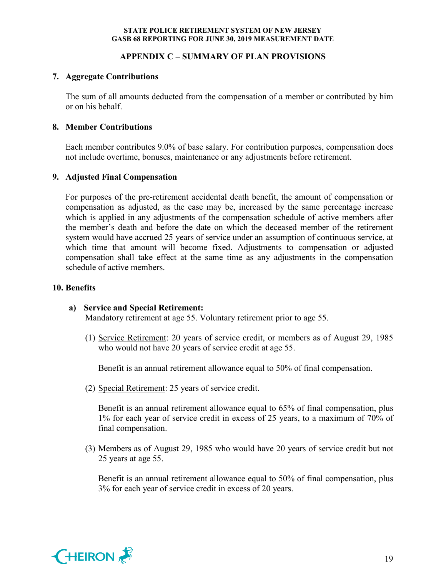### **APPENDIX C – SUMMARY OF PLAN PROVISIONS**

### **7. Aggregate Contributions**

The sum of all amounts deducted from the compensation of a member or contributed by him or on his behalf.

## **8. Member Contributions**

Each member contributes 9.0% of base salary. For contribution purposes, compensation does not include overtime, bonuses, maintenance or any adjustments before retirement.

## **9. Adjusted Final Compensation**

For purposes of the pre-retirement accidental death benefit, the amount of compensation or compensation as adjusted, as the case may be, increased by the same percentage increase which is applied in any adjustments of the compensation schedule of active members after the member's death and before the date on which the deceased member of the retirement system would have accrued 25 years of service under an assumption of continuous service, at which time that amount will become fixed. Adjustments to compensation or adjusted compensation shall take effect at the same time as any adjustments in the compensation schedule of active members.

### **10. Benefits**

## **a) Service and Special Retirement:**

Mandatory retirement at age 55. Voluntary retirement prior to age 55.

(1) Service Retirement: 20 years of service credit, or members as of August 29, 1985 who would not have 20 years of service credit at age 55.

Benefit is an annual retirement allowance equal to 50% of final compensation.

(2) Special Retirement: 25 years of service credit.

Benefit is an annual retirement allowance equal to 65% of final compensation, plus 1% for each year of service credit in excess of 25 years, to a maximum of 70% of final compensation.

(3) Members as of August 29, 1985 who would have 20 years of service credit but not 25 years at age 55.

Benefit is an annual retirement allowance equal to 50% of final compensation, plus 3% for each year of service credit in excess of 20 years.

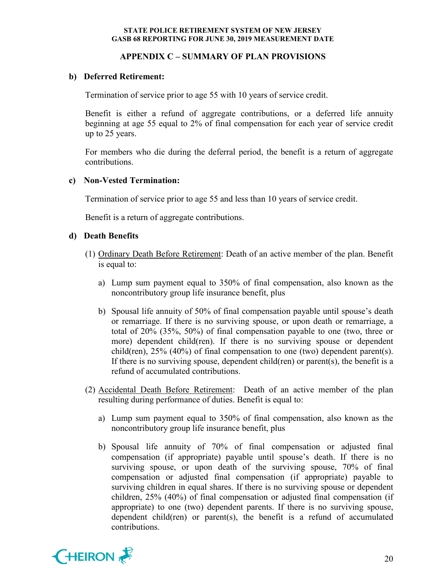### **APPENDIX C – SUMMARY OF PLAN PROVISIONS**

#### **b) Deferred Retirement:**

Termination of service prior to age 55 with 10 years of service credit.

Benefit is either a refund of aggregate contributions, or a deferred life annuity beginning at age 55 equal to 2% of final compensation for each year of service credit up to 25 years.

For members who die during the deferral period, the benefit is a return of aggregate contributions.

#### **c) Non-Vested Termination:**

Termination of service prior to age 55 and less than 10 years of service credit.

Benefit is a return of aggregate contributions.

## **d) Death Benefits**

- (1) Ordinary Death Before Retirement: Death of an active member of the plan. Benefit is equal to:
	- a) Lump sum payment equal to 350% of final compensation, also known as the noncontributory group life insurance benefit, plus
	- b) Spousal life annuity of 50% of final compensation payable until spouse's death or remarriage. If there is no surviving spouse, or upon death or remarriage, a total of 20% (35%, 50%) of final compensation payable to one (two, three or more) dependent child(ren). If there is no surviving spouse or dependent child(ren),  $25\%$  (40%) of final compensation to one (two) dependent parent(s). If there is no surviving spouse, dependent child(ren) or parent(s), the benefit is a refund of accumulated contributions.
- (2) Accidental Death Before Retirement: Death of an active member of the plan resulting during performance of duties. Benefit is equal to:
	- a) Lump sum payment equal to 350% of final compensation, also known as the noncontributory group life insurance benefit, plus
	- b) Spousal life annuity of 70% of final compensation or adjusted final compensation (if appropriate) payable until spouse's death. If there is no surviving spouse, or upon death of the surviving spouse, 70% of final compensation or adjusted final compensation (if appropriate) payable to surviving children in equal shares. If there is no surviving spouse or dependent children, 25% (40%) of final compensation or adjusted final compensation (if appropriate) to one (two) dependent parents. If there is no surviving spouse, dependent child(ren) or parent(s), the benefit is a refund of accumulated contributions.

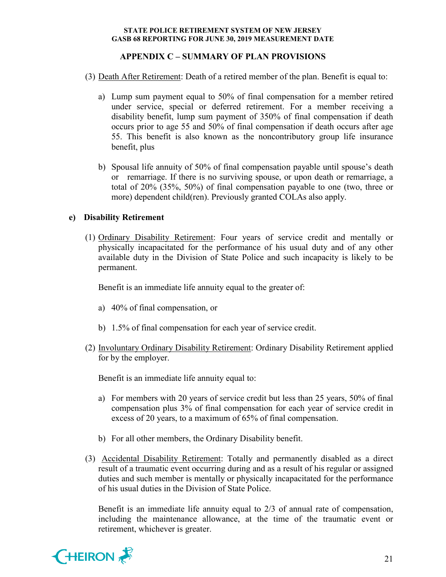## **APPENDIX C – SUMMARY OF PLAN PROVISIONS**

- (3) Death After Retirement: Death of a retired member of the plan. Benefit is equal to:
	- a) Lump sum payment equal to 50% of final compensation for a member retired under service, special or deferred retirement. For a member receiving a disability benefit, lump sum payment of 350% of final compensation if death occurs prior to age 55 and 50% of final compensation if death occurs after age 55. This benefit is also known as the noncontributory group life insurance benefit, plus
	- b) Spousal life annuity of 50% of final compensation payable until spouse's death or remarriage. If there is no surviving spouse, or upon death or remarriage, a total of 20% (35%, 50%) of final compensation payable to one (two, three or more) dependent child(ren). Previously granted COLAs also apply.

## **e) Disability Retirement**

(1) Ordinary Disability Retirement: Four years of service credit and mentally or physically incapacitated for the performance of his usual duty and of any other available duty in the Division of State Police and such incapacity is likely to be permanent.

Benefit is an immediate life annuity equal to the greater of:

- a) 40% of final compensation, or
- b) 1.5% of final compensation for each year of service credit.
- (2) Involuntary Ordinary Disability Retirement: Ordinary Disability Retirement applied for by the employer.

Benefit is an immediate life annuity equal to:

- a) For members with 20 years of service credit but less than 25 years, 50% of final compensation plus 3% of final compensation for each year of service credit in excess of 20 years, to a maximum of 65% of final compensation.
- b) For all other members, the Ordinary Disability benefit.
- (3) Accidental Disability Retirement: Totally and permanently disabled as a direct result of a traumatic event occurring during and as a result of his regular or assigned duties and such member is mentally or physically incapacitated for the performance of his usual duties in the Division of State Police.

Benefit is an immediate life annuity equal to 2/3 of annual rate of compensation, including the maintenance allowance, at the time of the traumatic event or retirement, whichever is greater.

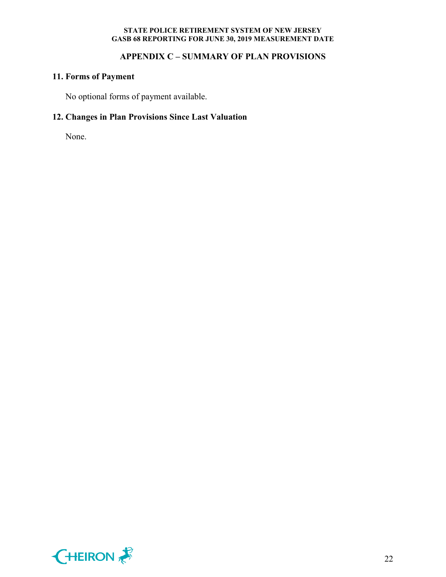## **APPENDIX C – SUMMARY OF PLAN PROVISIONS**

## **11. Forms of Payment**

No optional forms of payment available.

# **12. Changes in Plan Provisions Since Last Valuation**

None.

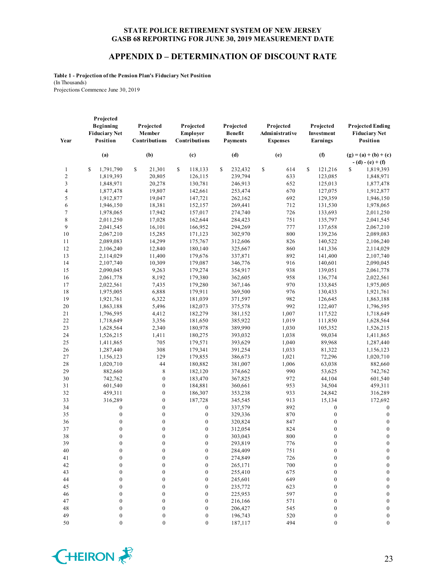#### **APPENDIX D – DETERMINATION OF DISCOUNT RATE**

**Table 1 - Projection of the Pension Plan's Fiduciary Net Position** (In Thousands) Projections Commence June 30, 2019

| Year           | Projected<br>Beginning<br><b>Fiduciary Net</b><br><b>Position</b> | Projected<br>Member<br>Contributions | Projected<br>Employer<br>Contributions | Projected<br><b>Benefit</b><br><b>Payments</b> | Projected<br>Administrative<br><b>Expenses</b> | Projected<br>Investment<br>Earnings | <b>Projected Ending</b><br><b>Fiduciary Net</b><br>Position |
|----------------|-------------------------------------------------------------------|--------------------------------------|----------------------------------------|------------------------------------------------|------------------------------------------------|-------------------------------------|-------------------------------------------------------------|
|                | (a)                                                               | (b)                                  | (c)                                    | (d)                                            | (e)                                            | (f)                                 | $(g) = (a) + (b) + (c)$<br>$- (d) - (e) + (f)$              |
| $\mathbf{1}$   | \$<br>1,791,790                                                   | \$<br>21,301                         | \$<br>118,133                          | \$<br>232,432                                  | \$<br>614                                      | \$<br>121,216                       | S<br>1,819,393                                              |
| $\overline{c}$ | 1,819,393                                                         | 20,805                               | 126,115                                | 239,794                                        | 633                                            | 123,085                             | 1,848,971                                                   |
| $\mathfrak{Z}$ | 1,848,971                                                         | 20,278                               | 130,781                                | 246,913                                        | 652                                            | 125,013                             | 1,877,478                                                   |
| $\overline{4}$ | 1,877,478                                                         | 19,807                               | 142,661                                | 253,474                                        | 670                                            | 127,075                             | 1,912,877                                                   |
| 5              | 1,912,877                                                         | 19,047                               | 147,721                                | 262,162                                        | 692                                            | 129,359                             | 1,946,150                                                   |
| 6              | 1,946,150                                                         | 18,381                               | 152,157                                | 269.441                                        | 712                                            | 131,530                             | 1,978,065                                                   |
| 7              | 1,978,065                                                         | 17,942                               | 157,017                                | 274,740                                        | 726                                            | 133,693                             | 2,011,250                                                   |
| 8              | 2,011,250                                                         | 17,028                               | 162,644                                | 284,423                                        | 751                                            | 135,797                             | 2,041,545                                                   |
| 9              | 2,041,545                                                         | 16,101                               | 166,952                                | 294,269                                        | 777                                            | 137,658                             | 2,067,210                                                   |
| 10             | 2,067,210                                                         | 15,285                               | 171,123                                | 302,970                                        | 800                                            | 139,236                             | 2,089,083                                                   |
| 11             | 2,089,083                                                         | 14,299                               | 175,767                                | 312,606                                        | 826                                            | 140,522                             | 2,106,240                                                   |
| 12             | 2,106,240                                                         | 12,840                               | 180,140                                | 325,667                                        | 860                                            | 141,336                             | 2,114,029                                                   |
| 13             | 2,114,029                                                         | 11,400                               | 179,676                                | 337,871                                        | 892                                            | 141,400                             | 2,107,740                                                   |
| 14             | 2,107,740                                                         | 10,309                               | 179,087                                | 346,776                                        | 916                                            | 140,601                             | 2,090,045                                                   |
| 15             | 2,090,045                                                         | 9,263                                | 179,274                                | 354,917                                        | 938                                            | 139,051                             | 2,061,778                                                   |
| 16             | 2,061,778                                                         | 8,192                                | 179,380                                | 362,605                                        | 958                                            | 136,774                             | 2,022,561                                                   |
| 17             | 2,022,561                                                         | 7,435                                | 179,280                                | 367,146                                        | 970                                            | 133,845                             | 1,975,005                                                   |
| 18             | 1,975,005                                                         | 6,888                                | 179,911                                | 369,500                                        | 976                                            | 130,433                             | 1,921,761                                                   |
| 19             | 1,921,761                                                         | 6,322                                | 181,039                                | 371,597                                        | 982                                            | 126,645                             | 1,863,188                                                   |
| 20             | 1,863,188                                                         | 5,496                                | 182,073                                | 375,578                                        | 992                                            | 122,407                             | 1,796,595                                                   |
| 21             | 1,796,595                                                         | 4,412                                | 182,279                                | 381,152                                        | 1,007                                          | 117,522                             | 1,718,649                                                   |
| 22             | 1,718,649                                                         | 3,356                                | 181,650                                | 385,922                                        | 1,019                                          | 111,850                             | 1,628,564                                                   |
| 23             | 1,628,564                                                         | 2,340                                | 180,978                                | 389,990                                        | 1,030                                          | 105,352                             | 1,526,215                                                   |
| 24             | 1,526,215                                                         | 1,411                                | 180,275                                | 393,032                                        | 1,038                                          | 98,034                              | 1,411,865                                                   |
| 25             | 1,411,865                                                         | 705                                  | 179,571                                | 393,629                                        | 1,040                                          | 89,968                              | 1,287,440                                                   |
| 26             | 1,287,440                                                         | 308                                  | 179,341                                | 391,254                                        | 1,033                                          | 81,322                              | 1,156,123                                                   |
| 27             | 1,156,123                                                         | 129                                  | 179,855                                | 386,673                                        | 1,021                                          | 72,296                              | 1,020,710                                                   |
| 28             | 1,020,710                                                         | 44                                   | 180,882                                | 381,007                                        | 1,006                                          | 63,038                              | 882,660                                                     |
| 29             | 882,660                                                           | $\,$ 8 $\,$                          | 182,120                                | 374,662                                        | 990                                            | 53,625                              | 742,762                                                     |
| 30             | 742,762                                                           | $\boldsymbol{0}$                     | 183,470                                | 367,825                                        | 972                                            | 44,104                              | 601,540                                                     |
| 31             | 601,540                                                           | $\mathbf{0}$                         | 184,881                                | 360,661                                        | 953                                            | 34,504                              | 459,311                                                     |
| 32             | 459,311                                                           | $\boldsymbol{0}$                     | 186,307                                | 353,238                                        | 933                                            | 24,842                              | 316,289                                                     |
| 33             | 316,289                                                           | $\boldsymbol{0}$                     | 187,728                                | 345,545                                        | 913                                            | 15,134                              | 172,692                                                     |
| 34             | $\boldsymbol{0}$                                                  | $\boldsymbol{0}$                     | $\boldsymbol{0}$                       | 337,579                                        | 892                                            | $\boldsymbol{0}$                    | $\boldsymbol{0}$                                            |
| 35             | $\boldsymbol{0}$                                                  | $\boldsymbol{0}$                     | $\boldsymbol{0}$                       | 329,336                                        | 870                                            | $\boldsymbol{0}$                    | $\boldsymbol{0}$                                            |
| 36             | $\boldsymbol{0}$                                                  | $\boldsymbol{0}$                     | $\boldsymbol{0}$                       | 320,824                                        | 847                                            | $\boldsymbol{0}$                    | $\boldsymbol{0}$                                            |
| 37             | $\boldsymbol{0}$                                                  | $\boldsymbol{0}$                     | $\boldsymbol{0}$                       | 312,054                                        | 824                                            | $\boldsymbol{0}$                    | $\boldsymbol{0}$                                            |
| 38             | $\mathbf{0}$                                                      | $\overline{0}$                       | $\overline{0}$                         | 303,043                                        | 800                                            | $\mathbf{0}$                        | $\boldsymbol{0}$                                            |
| 39             | 0                                                                 | 0                                    | 0                                      | 293,819                                        | 776                                            | $\boldsymbol{0}$                    | $\bf{0}$                                                    |
| 40             | $\boldsymbol{0}$                                                  | $\boldsymbol{0}$                     | $\boldsymbol{0}$                       | 284,409                                        | 751                                            | $\boldsymbol{0}$                    | $\mathbf{0}$                                                |
| 41             | $\boldsymbol{0}$                                                  | 0                                    | $\boldsymbol{0}$                       | 274,849                                        | 726                                            | $\boldsymbol{0}$                    | $\boldsymbol{0}$                                            |
| 42             | $\boldsymbol{0}$                                                  | $\overline{0}$                       | $\boldsymbol{0}$                       | 265,171                                        | 700                                            | $\boldsymbol{0}$                    | $\mathbf{0}$                                                |
| 43             | $\boldsymbol{0}$                                                  | $\boldsymbol{0}$                     | $\boldsymbol{0}$                       | 255,410                                        | 675                                            | $\boldsymbol{0}$                    | $\boldsymbol{0}$                                            |
| 44             | $\boldsymbol{0}$                                                  | 0                                    | $\boldsymbol{0}$                       | 245,601                                        | 649                                            | $\boldsymbol{0}$                    | $\boldsymbol{0}$                                            |
| 45             | $\mathbf{0}$                                                      | $\mathbf{0}$                         | $\boldsymbol{0}$                       | 235,772                                        | 623                                            | $\boldsymbol{0}$                    | $\boldsymbol{0}$                                            |
| 46             | $\boldsymbol{0}$                                                  | 0                                    | $\boldsymbol{0}$                       | 225,953                                        | 597                                            | $\boldsymbol{0}$                    | $\boldsymbol{0}$                                            |
| 47             | $\boldsymbol{0}$                                                  | $\boldsymbol{0}$                     | $\boldsymbol{0}$                       | 216,166                                        | 571                                            | $\boldsymbol{0}$                    | $\boldsymbol{0}$                                            |
| 48             | $\boldsymbol{0}$                                                  | $\boldsymbol{0}$                     | $\boldsymbol{0}$                       | 206,427                                        | 545                                            | $\boldsymbol{0}$                    | $\boldsymbol{0}$                                            |
| 49             | $\boldsymbol{0}$                                                  | $\boldsymbol{0}$                     | $\boldsymbol{0}$                       | 196,743                                        | 520                                            | $\boldsymbol{0}$                    | $\boldsymbol{0}$                                            |
| 50             | $\boldsymbol{0}$                                                  | $\boldsymbol{0}$                     | $\boldsymbol{0}$                       | 187,117                                        | 494                                            | $\boldsymbol{0}$                    | $\boldsymbol{0}$                                            |

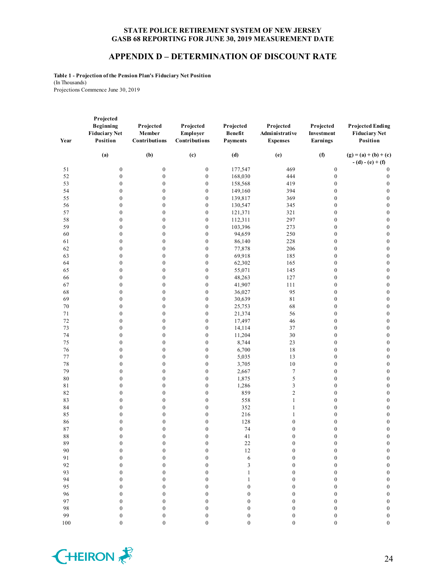#### **APPENDIX D – DETERMINATION OF DISCOUNT RATE**

**Table 1 - Projection of the Pension Plan's Fiduciary Net Position** (In Thousands) Projections Commence June 30, 2019

| Year     | Projected<br>Beginning<br><b>Fiduciary Net</b><br>Position | Projected<br>Member<br>Contributions | Projected<br>Employer<br>Contributions | Projected<br><b>Benefit</b><br><b>Payments</b> | Projected<br>Administrative<br><b>Expenses</b> | Projected<br>Investment<br>Earnings  | <b>Projected Ending</b><br><b>Fiduciary Net</b><br>Position |
|----------|------------------------------------------------------------|--------------------------------------|----------------------------------------|------------------------------------------------|------------------------------------------------|--------------------------------------|-------------------------------------------------------------|
|          | (a)                                                        | (b)                                  | (c)                                    | (d)                                            | (e)                                            | (f)                                  | $(g) = (a) + (b) + (c)$<br>$- (d) - (e) + (f)$              |
| 51       | $\boldsymbol{0}$                                           | $\boldsymbol{0}$                     | $\boldsymbol{0}$                       | 177,547                                        | 469                                            | $\boldsymbol{0}$                     | $\boldsymbol{0}$                                            |
| 52       | $\boldsymbol{0}$                                           | $\boldsymbol{0}$                     | $\boldsymbol{0}$                       | 168,030                                        | 444                                            | $\boldsymbol{0}$                     | $\boldsymbol{0}$                                            |
| 53       | $\boldsymbol{0}$                                           | $\boldsymbol{0}$                     | $\boldsymbol{0}$                       | 158,568                                        | 419                                            | $\boldsymbol{0}$                     | $\boldsymbol{0}$                                            |
| 54       | $\boldsymbol{0}$                                           | $\boldsymbol{0}$                     | $\boldsymbol{0}$                       | 149,160                                        | 394                                            | $\boldsymbol{0}$                     | $\boldsymbol{0}$                                            |
| 55       | $\boldsymbol{0}$                                           | $\boldsymbol{0}$                     | $\boldsymbol{0}$                       | 139,817                                        | 369                                            | $\boldsymbol{0}$                     | $\boldsymbol{0}$                                            |
| 56       | $\boldsymbol{0}$                                           | $\boldsymbol{0}$                     | $\boldsymbol{0}$                       | 130,547                                        | 345                                            | $\boldsymbol{0}$                     | $\boldsymbol{0}$                                            |
| 57       | $\boldsymbol{0}$                                           | $\boldsymbol{0}$                     | $\boldsymbol{0}$                       | 121,371                                        | 321                                            | $\boldsymbol{0}$                     | $\boldsymbol{0}$                                            |
| 58       | $\boldsymbol{0}$                                           | $\boldsymbol{0}$                     | $\boldsymbol{0}$                       | 112,311                                        | 297                                            | $\boldsymbol{0}$                     | $\boldsymbol{0}$                                            |
| 59       | $\boldsymbol{0}$                                           | $\boldsymbol{0}$                     | $\boldsymbol{0}$                       | 103,396                                        | 273                                            | $\boldsymbol{0}$                     | $\boldsymbol{0}$                                            |
| 60       | $\boldsymbol{0}$                                           | $\boldsymbol{0}$                     | $\boldsymbol{0}$                       | 94,659                                         | 250                                            | $\boldsymbol{0}$                     | $\boldsymbol{0}$                                            |
| 61       | $\boldsymbol{0}$                                           | $\boldsymbol{0}$                     | $\boldsymbol{0}$                       | 86,140                                         | 228                                            | $\boldsymbol{0}$                     | $\boldsymbol{0}$                                            |
| 62       | $\boldsymbol{0}$                                           | $\boldsymbol{0}$                     | $\boldsymbol{0}$                       | 77,878                                         | 206                                            | $\boldsymbol{0}$                     | $\boldsymbol{0}$                                            |
| 63       | $\boldsymbol{0}$                                           | $\boldsymbol{0}$                     | $\boldsymbol{0}$                       | 69,918                                         | 185                                            | $\boldsymbol{0}$                     | $\boldsymbol{0}$                                            |
| 64       | $\boldsymbol{0}$                                           | $\boldsymbol{0}$                     | $\boldsymbol{0}$                       | 62,302                                         | 165                                            | $\boldsymbol{0}$                     | $\boldsymbol{0}$                                            |
| 65       | $\boldsymbol{0}$                                           | 0                                    | $\boldsymbol{0}$                       | 55,071                                         | 145                                            | $\boldsymbol{0}$                     | $\boldsymbol{0}$                                            |
| 66       | $\boldsymbol{0}$                                           | $\boldsymbol{0}$                     | $\boldsymbol{0}$                       | 48,263                                         | 127                                            | $\boldsymbol{0}$                     | $\boldsymbol{0}$                                            |
| 67       | $\boldsymbol{0}$                                           | $\boldsymbol{0}$                     | $\boldsymbol{0}$                       | 41,907                                         | 111                                            | $\boldsymbol{0}$                     | $\boldsymbol{0}$                                            |
| 68       | $\boldsymbol{0}$                                           | $\boldsymbol{0}$                     | $\boldsymbol{0}$                       | 36,027                                         | 95                                             | $\boldsymbol{0}$                     | $\boldsymbol{0}$                                            |
| 69       | $\boldsymbol{0}$                                           | $\boldsymbol{0}$                     | $\boldsymbol{0}$                       | 30,639                                         | $8\sqrt{1}$                                    | $\boldsymbol{0}$                     | $\boldsymbol{0}$                                            |
| $70\,$   | $\boldsymbol{0}$                                           | $\boldsymbol{0}$                     | $\boldsymbol{0}$                       | 25,753                                         | 68                                             | $\boldsymbol{0}$                     | $\boldsymbol{0}$                                            |
| 71       | $\boldsymbol{0}$                                           | 0                                    | $\boldsymbol{0}$                       | 21,374                                         | 56                                             | $\boldsymbol{0}$                     | $\boldsymbol{0}$                                            |
| 72       | $\boldsymbol{0}$                                           | $\boldsymbol{0}$                     | $\boldsymbol{0}$                       | 17,497                                         | 46                                             | $\boldsymbol{0}$                     | $\boldsymbol{0}$                                            |
| 73       | $\boldsymbol{0}$                                           | $\boldsymbol{0}$                     | $\boldsymbol{0}$                       | 14,114                                         | 37                                             | $\boldsymbol{0}$                     | $\boldsymbol{0}$                                            |
| 74       | $\boldsymbol{0}$                                           | $\boldsymbol{0}$                     | $\boldsymbol{0}$                       | 11,204                                         | 30                                             | $\boldsymbol{0}$                     | $\boldsymbol{0}$                                            |
| 75       | $\boldsymbol{0}$                                           | $\boldsymbol{0}$                     | $\boldsymbol{0}$                       | 8,744                                          | 23                                             | $\boldsymbol{0}$                     | $\boldsymbol{0}$                                            |
| 76       | $\boldsymbol{0}$                                           | $\boldsymbol{0}$                     | $\boldsymbol{0}$                       | 6,700                                          | 18                                             | $\boldsymbol{0}$                     | $\boldsymbol{0}$                                            |
| 77       | $\boldsymbol{0}$                                           | 0                                    | $\boldsymbol{0}$                       | 5,035                                          | 13                                             | $\boldsymbol{0}$                     | $\boldsymbol{0}$                                            |
| 78       | $\boldsymbol{0}$                                           | $\boldsymbol{0}$                     | $\boldsymbol{0}$                       | 3,705                                          | 10                                             | $\boldsymbol{0}$                     | $\boldsymbol{0}$                                            |
| 79       | $\boldsymbol{0}$                                           | $\boldsymbol{0}$                     | $\boldsymbol{0}$                       | 2,667                                          | $\boldsymbol{7}$                               | $\boldsymbol{0}$                     | $\boldsymbol{0}$                                            |
| 80<br>81 | $\boldsymbol{0}$<br>$\boldsymbol{0}$                       | $\boldsymbol{0}$<br>$\boldsymbol{0}$ | $\boldsymbol{0}$<br>$\boldsymbol{0}$   | 1,875                                          | 5<br>3                                         | $\boldsymbol{0}$<br>$\boldsymbol{0}$ | $\boldsymbol{0}$<br>$\boldsymbol{0}$                        |
|          |                                                            |                                      |                                        | 1,286                                          |                                                |                                      |                                                             |
| 82<br>83 | $\boldsymbol{0}$<br>$\boldsymbol{0}$                       | 0<br>0                               | $\boldsymbol{0}$<br>$\boldsymbol{0}$   | 859<br>558                                     | $\overline{c}$<br>$\mathbf{1}$                 | $\boldsymbol{0}$<br>$\boldsymbol{0}$ | $\boldsymbol{0}$                                            |
| 84       | $\boldsymbol{0}$                                           | $\boldsymbol{0}$                     | $\boldsymbol{0}$                       | 352                                            | $\mathbf{1}$                                   | $\boldsymbol{0}$                     | $\boldsymbol{0}$<br>$\boldsymbol{0}$                        |
| 85       | $\boldsymbol{0}$                                           | $\boldsymbol{0}$                     | $\boldsymbol{0}$                       | 216                                            | $\mathbf{1}$                                   | $\boldsymbol{0}$                     | $\boldsymbol{0}$                                            |
| 86       | $\boldsymbol{0}$                                           | $\boldsymbol{0}$                     | $\boldsymbol{0}$                       | 128                                            | $\boldsymbol{0}$                               | $\boldsymbol{0}$                     | $\boldsymbol{0}$                                            |
| 87       | $\boldsymbol{0}$                                           | $\boldsymbol{0}$                     | $\boldsymbol{0}$                       | 74                                             | $\boldsymbol{0}$                               | $\boldsymbol{0}$                     | $\boldsymbol{0}$                                            |
| 88       | $\boldsymbol{0}$                                           | $\boldsymbol{0}$                     | $\boldsymbol{0}$                       | 41                                             | $\boldsymbol{0}$                               | $\boldsymbol{0}$                     | $\boldsymbol{0}$                                            |
| 89       | $\boldsymbol{0}$                                           | $\boldsymbol{0}$                     | $\boldsymbol{0}$                       | $22\,$                                         | 0                                              | $\boldsymbol{0}$                     | $\bf{0}$                                                    |
| 90       | $\boldsymbol{0}$                                           | $\boldsymbol{0}$                     | $\boldsymbol{0}$                       | $12\,$                                         | $\mathbf{0}$                                   | $\boldsymbol{0}$                     | $\boldsymbol{0}$                                            |
| 91       | $\boldsymbol{0}$                                           | $\boldsymbol{0}$                     | $\boldsymbol{0}$                       | 6                                              | $\boldsymbol{0}$                               | $\boldsymbol{0}$                     | $\boldsymbol{0}$                                            |
| 92       | $\boldsymbol{0}$                                           | $\overline{0}$                       | $\boldsymbol{0}$                       | 3                                              | $\overline{0}$                                 | $\boldsymbol{0}$                     | $\boldsymbol{0}$                                            |
| 93       | $\boldsymbol{0}$                                           | $\boldsymbol{0}$                     | $\boldsymbol{0}$                       | $\mathbf{1}$                                   | $\boldsymbol{0}$                               | $\boldsymbol{0}$                     | $\boldsymbol{0}$                                            |
| 94       | $\boldsymbol{0}$                                           | $\boldsymbol{0}$                     | $\boldsymbol{0}$                       | $\mathbf{1}$                                   | $\boldsymbol{0}$                               | $\boldsymbol{0}$                     | $\boldsymbol{0}$                                            |
| 95       | $\boldsymbol{0}$                                           | $\overline{0}$                       | $\boldsymbol{0}$                       | $\overline{0}$                                 | $\mathbf{0}$                                   | $\boldsymbol{0}$                     | $\boldsymbol{0}$                                            |
| 96       | $\boldsymbol{0}$                                           | $\boldsymbol{0}$                     | $\boldsymbol{0}$                       | $\boldsymbol{0}$                               | $\boldsymbol{0}$                               | $\boldsymbol{0}$                     | $\boldsymbol{0}$                                            |
| 97       | $\boldsymbol{0}$                                           | $\boldsymbol{0}$                     | $\boldsymbol{0}$                       | $\boldsymbol{0}$                               | $\boldsymbol{0}$                               | $\boldsymbol{0}$                     | $\boldsymbol{0}$                                            |
| 98       | $\boldsymbol{0}$                                           | $\overline{0}$                       | $\boldsymbol{0}$                       | $\overline{0}$                                 | $\boldsymbol{0}$                               | $\boldsymbol{0}$                     | $\boldsymbol{0}$                                            |
| 99       | $\boldsymbol{0}$                                           | $\boldsymbol{0}$                     | $\boldsymbol{0}$                       | $\boldsymbol{0}$                               | $\boldsymbol{0}$                               | $\boldsymbol{0}$                     | $\boldsymbol{0}$                                            |
| $100\,$  | $\mathbf{0}$                                               | $\boldsymbol{0}$                     | $\boldsymbol{0}$                       | $\boldsymbol{0}$                               | $\boldsymbol{0}$                               | $\boldsymbol{0}$                     | $\boldsymbol{0}$                                            |
|          |                                                            |                                      |                                        |                                                |                                                |                                      |                                                             |

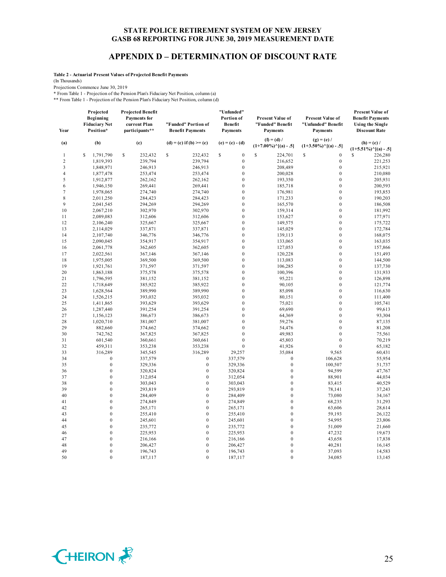#### **APPENDIX D – DETERMINATION OF DISCOUNT RATE**

**Table 2 - Actuarial Present Values of Projected Benefit Payments**

(In Thousands)

Projections Commence June 30, 2019

\* From Table 1 - Projection of the Pension Plan's Fiduciary Net Position, column (a)

\*\* From Table 1 - Projection of the Pension Plan's Fiduciary Net Position, column (d)

| Year           | Projected<br><b>Beginning</b><br><b>Fiduciary Net</b><br>Position* | <b>Projected Benefit</b><br><b>Payments</b> for<br>current Plan<br>participants** | "Funded" Portion of<br><b>Benefit Payments</b> | "Unfunded"<br>Portion of<br><b>Benefit</b><br><b>Payments</b> | Present Value of<br>"Funded" Benefit<br><b>Payments</b> | Present Value of<br>"Unfunded" Benefit<br><b>Payments</b> | <b>Present Value of</b><br><b>Benefit Payments</b><br><b>Using the Single</b><br><b>Discount Rate</b> |
|----------------|--------------------------------------------------------------------|-----------------------------------------------------------------------------------|------------------------------------------------|---------------------------------------------------------------|---------------------------------------------------------|-----------------------------------------------------------|-------------------------------------------------------------------------------------------------------|
| (a)            | (b)                                                                | (c)                                                                               | $(d) = (c)$ if $(b) \ge (c)$                   | $(e) = (c) - (d)$                                             | $(f) = (d) /$<br>$(1+7.00\%)$ <sup>^</sup> [(a) - .5]   | $(g) = (e) /$<br>$(1+3.50\%)$ <sup>^</sup> [(a) - .5]     | $(h) = (c) /$<br>$(1+5.51\%)$ <sup>^</sup> [(a) - .5]                                                 |
| $\mathbf{1}$   | 1,791,790<br>\$                                                    | S<br>232,432                                                                      | \$<br>232,432                                  | $\boldsymbol{0}$<br>s                                         | \$<br>224,701                                           | \$<br>$\boldsymbol{0}$                                    | S<br>226,280                                                                                          |
| 2              | 1,819,393                                                          | 239,794                                                                           | 239,794                                        | $\boldsymbol{0}$                                              | 216,652                                                 | $\boldsymbol{0}$                                          | 221,253                                                                                               |
| 3              | 1,848,971                                                          | 246,913                                                                           | 246,913                                        | $\boldsymbol{0}$                                              | 208,489                                                 | $\boldsymbol{0}$                                          | 215,921                                                                                               |
| $\overline{4}$ | 1,877,478                                                          | 253,474                                                                           | 253,474                                        | $\mathbf{0}$                                                  | 200,028                                                 | $\mathbf{0}$                                              | 210,080                                                                                               |
| 5              | 1,912,877                                                          | 262,162                                                                           | 262,162                                        | $\boldsymbol{0}$                                              | 193,350                                                 | $\mathbf{0}$                                              | 205,931                                                                                               |
| 6              | 1,946,150                                                          | 269,441                                                                           | 269,441                                        | $\mathbf{0}$                                                  | 185,718                                                 | $\mathbf{0}$                                              | 200,593                                                                                               |
| $\tau$         | 1,978,065                                                          | 274,740                                                                           | 274,740                                        | $\boldsymbol{0}$                                              | 176,981                                                 | $\boldsymbol{0}$                                          | 193,853                                                                                               |
| 8              | 2,011,250                                                          | 284,423                                                                           | 284,423                                        | $\boldsymbol{0}$                                              | 171,233                                                 | $\boldsymbol{0}$                                          | 190,203                                                                                               |
| 9              | 2,041,545                                                          | 294,269                                                                           | 294,269                                        | $\boldsymbol{0}$                                              | 165,570                                                 | $\mathbf{0}$                                              | 186,508                                                                                               |
| 10             | 2,067,210                                                          | 302,970                                                                           | 302,970                                        | $\boldsymbol{0}$                                              | 159,314                                                 | $\boldsymbol{0}$                                          | 181,992                                                                                               |
| 11             | 2,089,083                                                          | 312,606                                                                           | 312,606                                        | $\boldsymbol{0}$                                              | 153,627                                                 | $\mathbf{0}$                                              | 177,971                                                                                               |
| 12             | 2,106,240                                                          | 325,667                                                                           | 325,667                                        | $\boldsymbol{0}$                                              | 149,575                                                 | $\boldsymbol{0}$                                          | 175,722                                                                                               |
| 13             | 2,114,029                                                          | 337,871                                                                           | 337,871                                        | $\boldsymbol{0}$                                              | 145,029                                                 | $\mathbf{0}$                                              | 172,784                                                                                               |
| 14             | 2,107,740                                                          | 346,776                                                                           | 346,776                                        | $\boldsymbol{0}$                                              | 139,113                                                 | $\boldsymbol{0}$                                          | 168,075                                                                                               |
| 15             | 2,090,045                                                          | 354,917                                                                           | 354,917                                        | $\mathbf{0}$                                                  | 133,065                                                 | $\mathbf{0}$                                              | 163,035                                                                                               |
| 16             | 2,061,778                                                          | 362,605                                                                           | 362,605                                        | $\boldsymbol{0}$                                              | 127,053                                                 | $\mathbf{0}$                                              | 157,866                                                                                               |
| 17             | 2,022,561                                                          | 367,146                                                                           | 367,146                                        | $\mathbf{0}$                                                  | 120,228                                                 | $\mathbf{0}$                                              | 151,493                                                                                               |
| 18             | 1,975,005                                                          | 369,500                                                                           | 369,500                                        | $\boldsymbol{0}$                                              | 113,083                                                 | $\boldsymbol{0}$                                          | 144,500                                                                                               |
| 19             | 1,921,761                                                          | 371,597                                                                           | 371,597                                        | $\mathbf{0}$                                                  | 106,285                                                 | $\mathbf{0}$                                              | 137,730                                                                                               |
| 20             |                                                                    | 375,578                                                                           | 375,578                                        | $\mathbf{0}$                                                  | 100,396                                                 | $\mathbf{0}$                                              |                                                                                                       |
|                | 1,863,188                                                          |                                                                                   |                                                | $\boldsymbol{0}$                                              |                                                         | $\boldsymbol{0}$                                          | 131,933                                                                                               |
| 21             | 1,796,595                                                          | 381,152                                                                           | 381,152                                        | $\mathbf{0}$                                                  | 95,221                                                  |                                                           | 126,898                                                                                               |
| 22             | 1,718,649                                                          | 385,922                                                                           | 385,922                                        |                                                               | 90,105                                                  | $\mathbf{0}$                                              | 121,774                                                                                               |
| 23             | 1,628,564                                                          | 389,990                                                                           | 389,990                                        | $\boldsymbol{0}$                                              | 85,098                                                  | $\boldsymbol{0}$                                          | 116,630                                                                                               |
| 24             | 1,526,215                                                          | 393,032                                                                           | 393,032                                        | $\mathbf{0}$                                                  | 80,151                                                  | $\mathbf{0}$                                              | 111,400                                                                                               |
| 25             | 1,411,865                                                          | 393,629                                                                           | 393,629                                        | $\boldsymbol{0}$                                              | 75,021                                                  | $\mathbf{0}$                                              | 105,741                                                                                               |
| 26             | 1,287,440                                                          | 391,254                                                                           | 391,254                                        | $\boldsymbol{0}$                                              | 69,690                                                  | $\mathbf{0}$                                              | 99,613                                                                                                |
| 27             | 1,156,123                                                          | 386,673                                                                           | 386,673                                        | $\boldsymbol{0}$                                              | 64,369                                                  | $\mathbf{0}$                                              | 93,304                                                                                                |
| 28             | 1,020,710                                                          | 381,007                                                                           | 381,007                                        | $\mathbf{0}$                                                  | 59,276                                                  | $\mathbf{0}$                                              | 87,135                                                                                                |
| 29             | 882,660                                                            | 374,662                                                                           | 374,662                                        | $\boldsymbol{0}$                                              | 54,476                                                  | $\mathbf{0}$                                              | 81,208                                                                                                |
| 30             | 742,762                                                            | 367,825                                                                           | 367,825                                        | $\mathbf{0}$                                                  | 49,983                                                  | $\mathbf{0}$                                              | 75,561                                                                                                |
| 31             | 601,540                                                            | 360,661                                                                           | 360,661                                        | $\mathbf{0}$                                                  | 45,803                                                  | $\mathbf{0}$                                              | 70,219                                                                                                |
| 32             | 459,311                                                            | 353,238                                                                           | 353,238                                        | $\boldsymbol{0}$                                              | 41,926                                                  | $\boldsymbol{0}$                                          | 65,182                                                                                                |
| 33             | 316,289                                                            | 345,545                                                                           | 316,289                                        | 29,257                                                        | 35,084                                                  | 9,565                                                     | 60,431                                                                                                |
| 34             | $\boldsymbol{0}$                                                   | 337,579                                                                           | $\boldsymbol{0}$                               | 337,579                                                       | $\boldsymbol{0}$                                        | 106,628                                                   | 55,954                                                                                                |
| 35             | $\boldsymbol{0}$                                                   | 329,336                                                                           | $\boldsymbol{0}$                               | 329,336                                                       | $\boldsymbol{0}$                                        | 100,507                                                   | 51,737                                                                                                |
| 36             | $\boldsymbol{0}$                                                   | 320,824                                                                           | $\boldsymbol{0}$                               | 320,824                                                       | $\boldsymbol{0}$                                        | 94,599                                                    | 47,767                                                                                                |
| 37             | $\overline{0}$                                                     | 312,054                                                                           | $\boldsymbol{0}$                               | 312,054                                                       | $\mathbf{0}$                                            | 88,901                                                    | 44,034                                                                                                |
| 38             | $\mathbf{0}$                                                       | 303,043                                                                           | $\boldsymbol{0}$                               | 303,043                                                       | $\boldsymbol{0}$                                        | 83,415                                                    | 40,529                                                                                                |
| 39             | $\overline{0}$                                                     | 293,819                                                                           | $\mathbf{0}$                                   | 293.819                                                       | $\overline{0}$                                          | 78,141                                                    | 37,243                                                                                                |
| 40             | $\boldsymbol{0}$                                                   | 284,409                                                                           | $\boldsymbol{0}$                               | 284,409                                                       | $\boldsymbol{0}$                                        | 73,080                                                    | 34,167                                                                                                |
| 41             | $\overline{0}$                                                     | 274,849                                                                           | $\mathbf{0}$                                   | 274,849                                                       | $\overline{0}$                                          | 68,235                                                    | 31,293                                                                                                |
| 42             | $\boldsymbol{0}$                                                   | 265,171                                                                           | $\boldsymbol{0}$                               | 265,171                                                       | $\boldsymbol{0}$                                        | 63,606                                                    | 28,614                                                                                                |
| 43             | $\boldsymbol{0}$                                                   | 255,410                                                                           | $\boldsymbol{0}$                               | 255,410                                                       | $\boldsymbol{0}$                                        | 59,193                                                    | 26,122                                                                                                |
| 44             | $\mathbf{0}$                                                       | 245,601                                                                           | $\boldsymbol{0}$                               | 245,601                                                       | $\mathbf{0}$                                            | 54,995                                                    | 23,806                                                                                                |
| 45             | $\boldsymbol{0}$                                                   | 235,772                                                                           | $\boldsymbol{0}$                               | 235,772                                                       | $\boldsymbol{0}$                                        | 51,009                                                    | 21,660                                                                                                |
| 46             | $\overline{0}$                                                     | 225,953                                                                           | $\boldsymbol{0}$                               | 225,953                                                       | $\overline{0}$                                          | 47,232                                                    | 19,673                                                                                                |
| 47             | $\boldsymbol{0}$                                                   | 216,166                                                                           | $\boldsymbol{0}$                               | 216,166                                                       | $\boldsymbol{0}$                                        | 43,658                                                    | 17,838                                                                                                |
| 48             | $\mathbf{0}$                                                       | 206,427                                                                           | $\boldsymbol{0}$                               | 206,427                                                       | $\mathbf{0}$                                            | 40,281                                                    | 16,145                                                                                                |
| 49             | $\mathbf{0}$                                                       | 196,743                                                                           | $\boldsymbol{0}$                               | 196,743                                                       | $\boldsymbol{0}$                                        | 37,093                                                    | 14,583                                                                                                |
| 50             | $\overline{0}$                                                     | 187,117                                                                           | $\theta$                                       | 187,117                                                       | $\overline{0}$                                          | 34,085                                                    | 13,145                                                                                                |

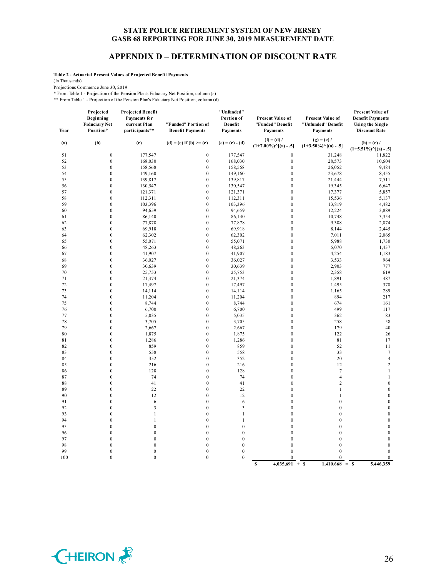#### **APPENDIX D – DETERMINATION OF DISCOUNT RATE**

**Table 2 - Actuarial Present Values of Projected Benefit Payments**

(In Thousands)

Projections Commence June 30, 2019

\* From Table 1 - Projection of the Pension Plan's Fiduciary Net Position, column (a)

\*\* From Table 1 - Projection of the Pension Plan's Fiduciary Net Position, column (d)

| Year     | Projected<br>Beginning<br><b>Fiduciary Net</b><br>Position* | <b>Projected Benefit</b><br><b>Payments</b> for<br>current Plan<br>participants** | "Funded" Portion of<br><b>Benefit Payments</b> | "Unfunded"<br>Portion of<br>Benefit<br><b>Payments</b> | Present Value of<br>"Funded" Benefit<br><b>Payments</b>                 | Present Value of<br>"Unfunded" Benefit<br><b>Payments</b>               | <b>Present Value of</b><br><b>Benefit Payments</b><br><b>Using the Single</b><br><b>Discount Rate</b> |
|----------|-------------------------------------------------------------|-----------------------------------------------------------------------------------|------------------------------------------------|--------------------------------------------------------|-------------------------------------------------------------------------|-------------------------------------------------------------------------|-------------------------------------------------------------------------------------------------------|
| (a)      | (b)                                                         | (c)                                                                               | $(d) = (c)$ if $(b) \ge (c)$                   | $(e) = (c) - (d)$                                      | $(f) = (d) /$<br>$(1+7.00\%)$ <sup><math>\wedge</math></sup> [(a) - .5] | $(g) = (e) /$<br>$(1+3.50\%)$ <sup><math>\wedge</math></sup> [(a) - .5] | $(h) = (c) /$<br>$(1+5.51\%)$ $\cap$ $(a) - .5$ ]                                                     |
| 51       | $\boldsymbol{0}$                                            | 177,547                                                                           | $\boldsymbol{0}$                               | 177,547                                                | $\boldsymbol{0}$                                                        | 31,248                                                                  | 11,822                                                                                                |
| 52       | $\boldsymbol{0}$                                            | 168,030                                                                           | $\boldsymbol{0}$                               | 168,030                                                | $\boldsymbol{0}$                                                        | 28,573                                                                  | 10,604                                                                                                |
| 53       | $\boldsymbol{0}$                                            | 158,568                                                                           | $\boldsymbol{0}$                               | 158,568                                                | $\boldsymbol{0}$                                                        | 26,052                                                                  | 9,484                                                                                                 |
| 54       | $\mathbf{0}$                                                | 149,160                                                                           | $\mathbf{0}$                                   | 149,160                                                | $\mathbf{0}$                                                            | 23,678                                                                  | 8,455                                                                                                 |
| 55       | $\mathbf{0}$                                                | 139,817                                                                           | $\mathbf{0}$                                   | 139,817                                                | $\mathbf{0}$                                                            | 21,444                                                                  | 7,511                                                                                                 |
| 56       | $\boldsymbol{0}$                                            | 130,547                                                                           | $\mathbf{0}$                                   | 130,547                                                | $\mathbf{0}$                                                            | 19,345                                                                  | 6,647                                                                                                 |
| 57       | $\boldsymbol{0}$                                            | 121,371                                                                           | $\mathbf{0}$                                   | 121,371                                                | $\mathbf{0}$                                                            | 17,377                                                                  | 5,857                                                                                                 |
| 58       | $\boldsymbol{0}$                                            | 112,311                                                                           | $\boldsymbol{0}$                               | 112,311                                                | $\boldsymbol{0}$                                                        | 15,536                                                                  | 5,137                                                                                                 |
| 59       | $\boldsymbol{0}$                                            | 103,396                                                                           | $\boldsymbol{0}$                               | 103,396                                                | $\mathbf{0}$                                                            | 13,819                                                                  | 4,482                                                                                                 |
| 60       | $\boldsymbol{0}$                                            | 94,659                                                                            | $\mathbf{0}$                                   | 94,659                                                 | $\mathbf{0}$                                                            | 12,224                                                                  | 3,889                                                                                                 |
| 61       | $\boldsymbol{0}$                                            | 86,140                                                                            | $\boldsymbol{0}$                               | 86,140                                                 | $\boldsymbol{0}$                                                        | 10,748                                                                  | 3,354                                                                                                 |
| 62       | $\boldsymbol{0}$                                            | 77,878                                                                            | $\mathbf{0}$                                   | 77,878                                                 | $\mathbf{0}$                                                            | 9,388                                                                   | 2,874                                                                                                 |
| 63       | $\boldsymbol{0}$                                            | 69,918                                                                            | $\boldsymbol{0}$                               | 69,918                                                 | $\boldsymbol{0}$                                                        | 8,144                                                                   | 2,445                                                                                                 |
| 64       | $\boldsymbol{0}$                                            | 62,302                                                                            | $\boldsymbol{0}$                               | 62,302                                                 | $\boldsymbol{0}$                                                        | 7,011                                                                   | 2,065                                                                                                 |
| 65       | $\boldsymbol{0}$                                            | 55,071                                                                            | $\boldsymbol{0}$                               | 55,071                                                 | $\boldsymbol{0}$                                                        | 5,988                                                                   | 1,730                                                                                                 |
| 66       | $\boldsymbol{0}$                                            | 48,263                                                                            | $\boldsymbol{0}$                               | 48,263                                                 | $\boldsymbol{0}$                                                        | 5,070                                                                   | 1,437                                                                                                 |
| 67       | $\boldsymbol{0}$<br>$\mathbf{0}$                            | 41,907                                                                            | $\boldsymbol{0}$<br>$\mathbf{0}$               | 41,907                                                 | $\mathbf{0}$<br>$\mathbf{0}$                                            | 4,254                                                                   | 1,183                                                                                                 |
| 68<br>69 | $\boldsymbol{0}$                                            | 36,027<br>30,639                                                                  | $\mathbf{0}$                                   | 36,027                                                 | $\mathbf{0}$                                                            | 3,533                                                                   | 964<br>777                                                                                            |
| 70       | $\boldsymbol{0}$                                            | 25,753                                                                            | $\mathbf{0}$                                   | 30,639<br>25,753                                       | $\mathbf{0}$                                                            | 2,903<br>2,358                                                          | 619                                                                                                   |
| 71       | $\boldsymbol{0}$                                            | 21,374                                                                            | $\mathbf{0}$                                   | 21,374                                                 | $\mathbf{0}$                                                            | 1,891                                                                   | 487                                                                                                   |
| 72       | $\boldsymbol{0}$                                            | 17,497                                                                            | $\mathbf{0}$                                   | 17,497                                                 | $\mathbf{0}$                                                            | 1,495                                                                   | 378                                                                                                   |
| 73       | $\boldsymbol{0}$                                            | 14,114                                                                            | $\mathbf{0}$                                   | 14,114                                                 | $\mathbf{0}$                                                            | 1,165                                                                   | 289                                                                                                   |
| 74       | $\mathbf{0}$                                                | 11,204                                                                            | $\mathbf{0}$                                   | 11,204                                                 | $\mathbf{0}$                                                            | 894                                                                     | 217                                                                                                   |
| 75       | $\boldsymbol{0}$                                            | 8,744                                                                             | $\boldsymbol{0}$                               | 8,744                                                  | $\boldsymbol{0}$                                                        | 674                                                                     | 161                                                                                                   |
| 76       | $\boldsymbol{0}$                                            | 6,700                                                                             | $\boldsymbol{0}$                               | 6,700                                                  | $\boldsymbol{0}$                                                        | 499                                                                     | 117                                                                                                   |
| 77       | $\boldsymbol{0}$                                            | 5,035                                                                             | $\boldsymbol{0}$                               | 5,035                                                  | $\boldsymbol{0}$                                                        | 362                                                                     | 83                                                                                                    |
| 78       | $\boldsymbol{0}$                                            | 3,705                                                                             | $\boldsymbol{0}$                               | 3,705                                                  | $\boldsymbol{0}$                                                        | 258                                                                     | 58                                                                                                    |
| 79       | $\boldsymbol{0}$                                            | 2,667                                                                             | $\boldsymbol{0}$                               | 2,667                                                  | $\boldsymbol{0}$                                                        | 179                                                                     | 40                                                                                                    |
| 80       | $\boldsymbol{0}$                                            | 1,875                                                                             | $\boldsymbol{0}$                               | 1,875                                                  | $\boldsymbol{0}$                                                        | 122                                                                     | 26                                                                                                    |
| 81       | $\boldsymbol{0}$                                            | 1,286                                                                             | $\boldsymbol{0}$                               | 1,286                                                  | $\boldsymbol{0}$                                                        | 81                                                                      | 17                                                                                                    |
| 82       | $\boldsymbol{0}$                                            | 859                                                                               | $\boldsymbol{0}$                               | 859                                                    | $\boldsymbol{0}$                                                        | 52                                                                      | 11                                                                                                    |
| 83       | $\boldsymbol{0}$                                            | 558                                                                               | $\mathbf{0}$                                   | 558                                                    | $\mathbf{0}$                                                            | 33                                                                      | $\tau$                                                                                                |
| 84       | $\mathbf{0}$                                                | 352                                                                               | $\mathbf{0}$                                   | 352                                                    | $\mathbf{0}$                                                            | 20                                                                      | $\overline{4}$                                                                                        |
| 85       | $\mathbf{0}$                                                | 216                                                                               | $\mathbf{0}$                                   | 216                                                    | $\mathbf{0}$                                                            | 12                                                                      | $\overline{2}$                                                                                        |
| 86       | $\mathbf{0}$                                                | 128                                                                               | $\mathbf{0}$                                   | 128                                                    | $\mathbf{0}$                                                            | $\tau$                                                                  | $\mathbf{1}$                                                                                          |
| 87       | $\mathbf{0}$                                                | 74                                                                                | $\mathbf{0}$                                   | 74                                                     | $\mathbf{0}$                                                            | $\overline{4}$                                                          | $\mathbf{1}$                                                                                          |
| 88       | $\boldsymbol{0}$                                            | 41                                                                                | $\boldsymbol{0}$                               | 41                                                     | $\mathbf{0}$                                                            | $\overline{c}$                                                          | $\boldsymbol{0}$                                                                                      |
| 89       | $\boldsymbol{0}$                                            | 22                                                                                | $\boldsymbol{0}$                               | 22                                                     | $\boldsymbol{0}$                                                        | $\mathbf{1}$                                                            | $\boldsymbol{0}$                                                                                      |
| 90       | $\boldsymbol{0}$                                            | 12                                                                                | $\boldsymbol{0}$                               | 12                                                     | $\boldsymbol{0}$                                                        | $\mathbf{1}$                                                            | $\boldsymbol{0}$                                                                                      |
| 91       | $\boldsymbol{0}$                                            | 6                                                                                 | $\boldsymbol{0}$                               | 6                                                      | $\boldsymbol{0}$                                                        | $\boldsymbol{0}$                                                        | $\boldsymbol{0}$                                                                                      |
| 92       | $\boldsymbol{0}$                                            | 3                                                                                 | $\boldsymbol{0}$                               | $\overline{\mathbf{3}}$                                | $\boldsymbol{0}$                                                        | $\boldsymbol{0}$                                                        | $\boldsymbol{0}$                                                                                      |
| 93       | $\boldsymbol{0}$                                            | $\mathbf{1}$                                                                      | $\boldsymbol{0}$                               | $\mathbf{1}$                                           | $\boldsymbol{0}$                                                        | $\boldsymbol{0}$                                                        | $\boldsymbol{0}$                                                                                      |
| 94       | $\boldsymbol{0}$                                            | $\mathbf{1}$                                                                      | $\boldsymbol{0}$                               | $\,1\,$                                                | $\boldsymbol{0}$                                                        | $\boldsymbol{0}$                                                        | $\boldsymbol{0}$                                                                                      |
| 95       | $\boldsymbol{0}$                                            | $\boldsymbol{0}$                                                                  | $\boldsymbol{0}$                               | $\boldsymbol{0}$                                       | $\boldsymbol{0}$                                                        | $\boldsymbol{0}$                                                        | $\boldsymbol{0}$                                                                                      |
| 96<br>97 | $\boldsymbol{0}$<br>$\mathbf{0}$                            | $\boldsymbol{0}$<br>$\mathbf{0}$                                                  | $\boldsymbol{0}$<br>$\mathbf{0}$               | $\boldsymbol{0}$<br>$\overline{0}$                     | $\boldsymbol{0}$<br>$\mathbf{0}$                                        | $\boldsymbol{0}$<br>$\mathbf{0}$                                        | $\boldsymbol{0}$<br>$\boldsymbol{0}$                                                                  |
| 98       | $\mathbf{0}$                                                | $\mathbf{0}$                                                                      | $\mathbf{0}$                                   | $\overline{0}$                                         | $\mathbf{0}$                                                            | $\mathbf{0}$                                                            | $\mathbf{0}$                                                                                          |
| 99       | $\boldsymbol{0}$                                            | $\boldsymbol{0}$                                                                  | $\boldsymbol{0}$                               | $\mathbf{0}$                                           | $\theta$                                                                | $\mathbf{0}$                                                            | $\mathbf{0}$                                                                                          |
| 100      | $\mathbf{0}$                                                | $\mathbf{0}$                                                                      | $\mathbf{0}$                                   | $\mathbf{0}$                                           | $\mathbf{0}$                                                            | $\mathbf{0}$                                                            | $\mathbf{0}$                                                                                          |
|          |                                                             |                                                                                   |                                                |                                                        | $4,035,691 + S$<br>$\mathbf S$                                          | $1,410,668 = S$                                                         | 5,446,359                                                                                             |

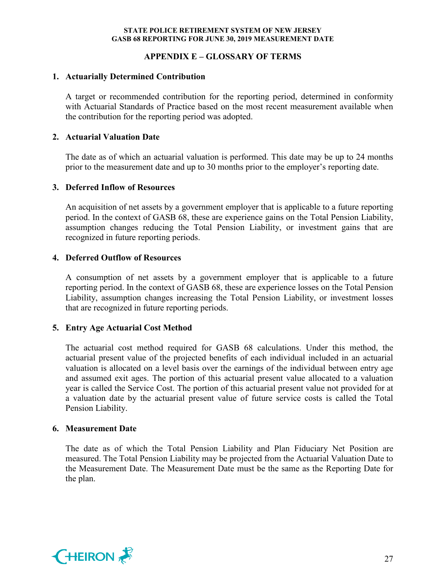## **APPENDIX E – GLOSSARY OF TERMS**

#### **1. Actuarially Determined Contribution**

A target or recommended contribution for the reporting period, determined in conformity with Actuarial Standards of Practice based on the most recent measurement available when the contribution for the reporting period was adopted.

## **2. Actuarial Valuation Date**

The date as of which an actuarial valuation is performed. This date may be up to 24 months prior to the measurement date and up to 30 months prior to the employer's reporting date.

## **3. Deferred Inflow of Resources**

An acquisition of net assets by a government employer that is applicable to a future reporting period. In the context of GASB 68, these are experience gains on the Total Pension Liability, assumption changes reducing the Total Pension Liability, or investment gains that are recognized in future reporting periods.

## **4. Deferred Outflow of Resources**

A consumption of net assets by a government employer that is applicable to a future reporting period. In the context of GASB 68, these are experience losses on the Total Pension Liability, assumption changes increasing the Total Pension Liability, or investment losses that are recognized in future reporting periods.

#### **5. Entry Age Actuarial Cost Method**

The actuarial cost method required for GASB 68 calculations. Under this method, the actuarial present value of the projected benefits of each individual included in an actuarial valuation is allocated on a level basis over the earnings of the individual between entry age and assumed exit ages. The portion of this actuarial present value allocated to a valuation year is called the Service Cost. The portion of this actuarial present value not provided for at a valuation date by the actuarial present value of future service costs is called the Total Pension Liability.

#### **6. Measurement Date**

The date as of which the Total Pension Liability and Plan Fiduciary Net Position are measured. The Total Pension Liability may be projected from the Actuarial Valuation Date to the Measurement Date. The Measurement Date must be the same as the Reporting Date for the plan.